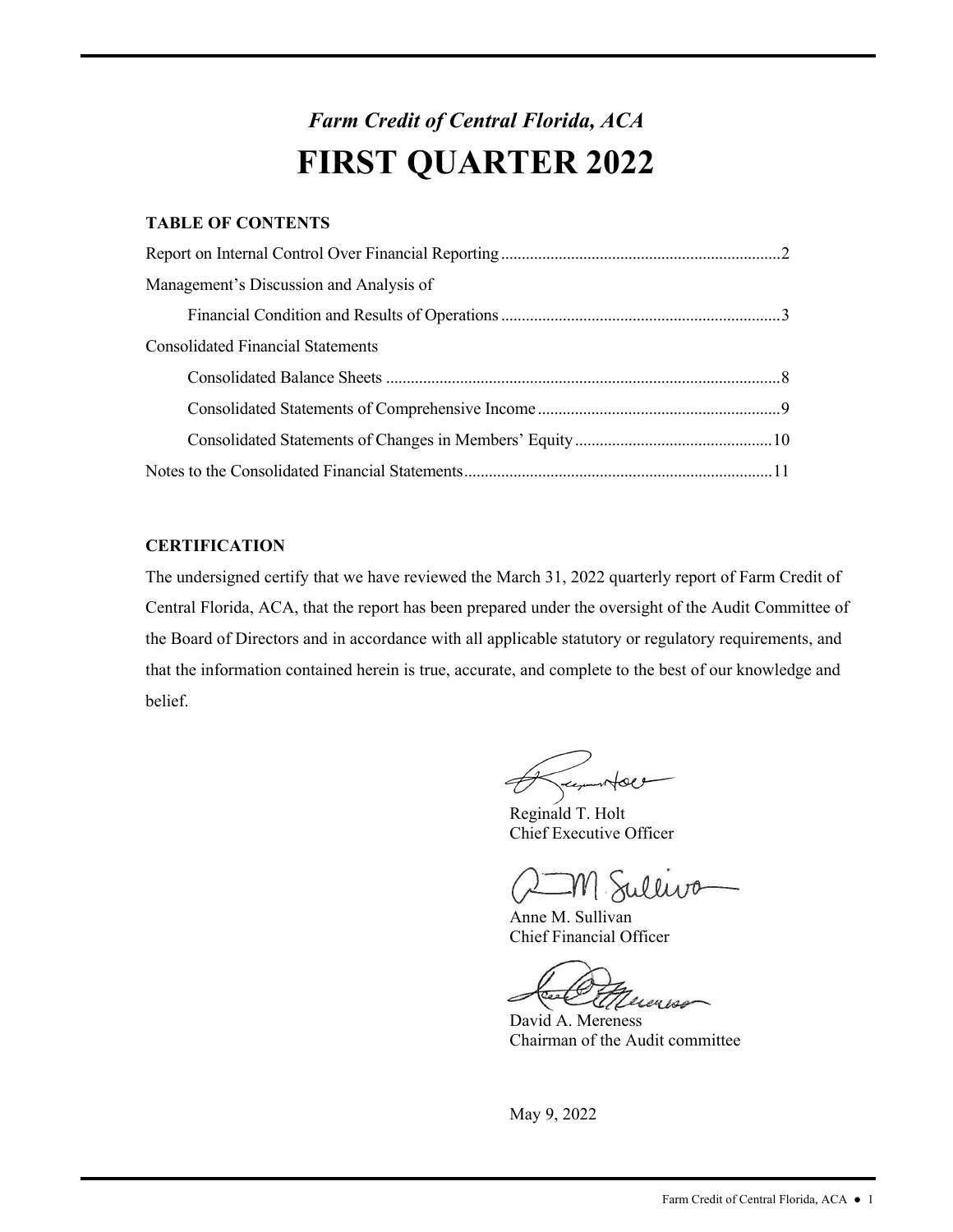## *Farm Credit of Central Florida, ACA*  **FIRST QUARTER 2022**

## **TABLE OF CONTENTS**

| Management's Discussion and Analysis of  |
|------------------------------------------|
|                                          |
| <b>Consolidated Financial Statements</b> |
|                                          |
|                                          |
|                                          |
|                                          |

## **CERTIFICATION**

The undersigned certify that we have reviewed the March 31, 2022 quarterly report of Farm Credit of Central Florida, ACA, that the report has been prepared under the oversight of the Audit Committee of the Board of Directors and in accordance with all applicable statutory or regulatory requirements, and that the information contained herein is true, accurate, and complete to the best of our knowledge and belief.

Summons

Reginald T. Holt Chief Executive Officer

Sulliva

Anne M. Sullivan Chief Financial Officer

AM Sullivo<br>Anne M. Sullivan<br>Chief Financial Officer<br>David A. Mereness<br>Chairman of the Audit committee

David A. Mereness Chairman of the Audit committee

May 9, 2022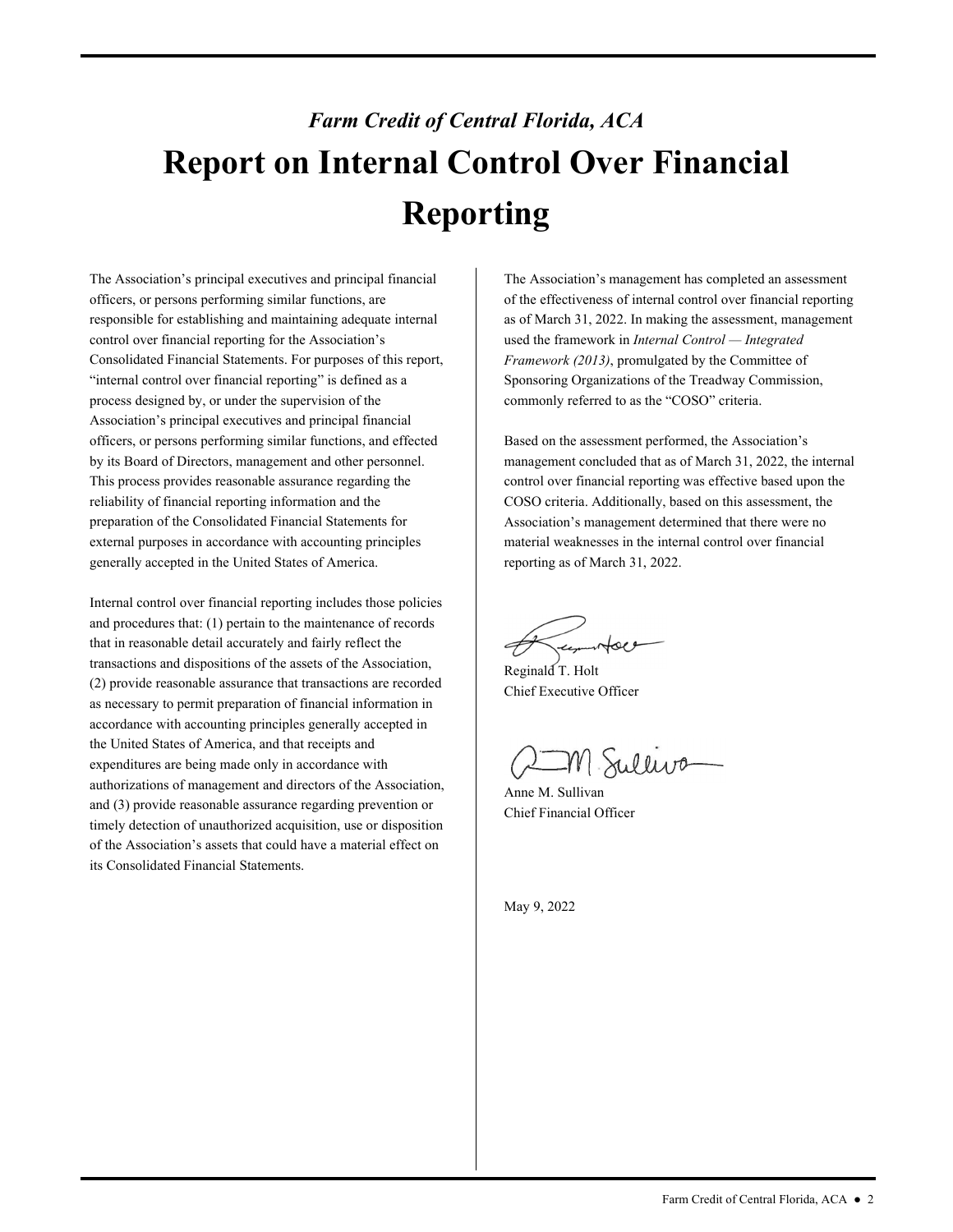# *Farm Credit of Central Florida, ACA*  **Report on Internal Control Over Financial Reporting**

The Association's principal executives and principal financial officers, or persons performing similar functions, are responsible for establishing and maintaining adequate internal control over financial reporting for the Association's Consolidated Financial Statements. For purposes of this report, "internal control over financial reporting" is defined as a process designed by, or under the supervision of the Association's principal executives and principal financial officers, or persons performing similar functions, and effected by its Board of Directors, management and other personnel. This process provides reasonable assurance regarding the reliability of financial reporting information and the preparation of the Consolidated Financial Statements for external purposes in accordance with accounting principles generally accepted in the United States of America.

Internal control over financial reporting includes those policies and procedures that: (1) pertain to the maintenance of records that in reasonable detail accurately and fairly reflect the transactions and dispositions of the assets of the Association, (2) provide reasonable assurance that transactions are recorded as necessary to permit preparation of financial information in accordance with accounting principles generally accepted in the United States of America, and that receipts and expenditures are being made only in accordance with authorizations of management and directors of the Association, and (3) provide reasonable assurance regarding prevention or timely detection of unauthorized acquisition, use or disposition of the Association's assets that could have a material effect on its Consolidated Financial Statements.

The Association's management has completed an assessment of the effectiveness of internal control over financial reporting as of March 31, 2022. In making the assessment, management used the framework in *Internal Control — Integrated Framework (2013)*, promulgated by the Committee of Sponsoring Organizations of the Treadway Commission, commonly referred to as the "COSO" criteria.

 Association's management determined that there were no Based on the assessment performed, the Association's management concluded that as of March 31, 2022, the internal control over financial reporting was effective based upon the COSO criteria. Additionally, based on this assessment, the material weaknesses in the internal control over financial reporting as of March 31, 2022.

Reginald T. Holt Chief Executive Officer

n Sulliva

Anne M. Sullivan Chief Financial Officer

May 9, 2022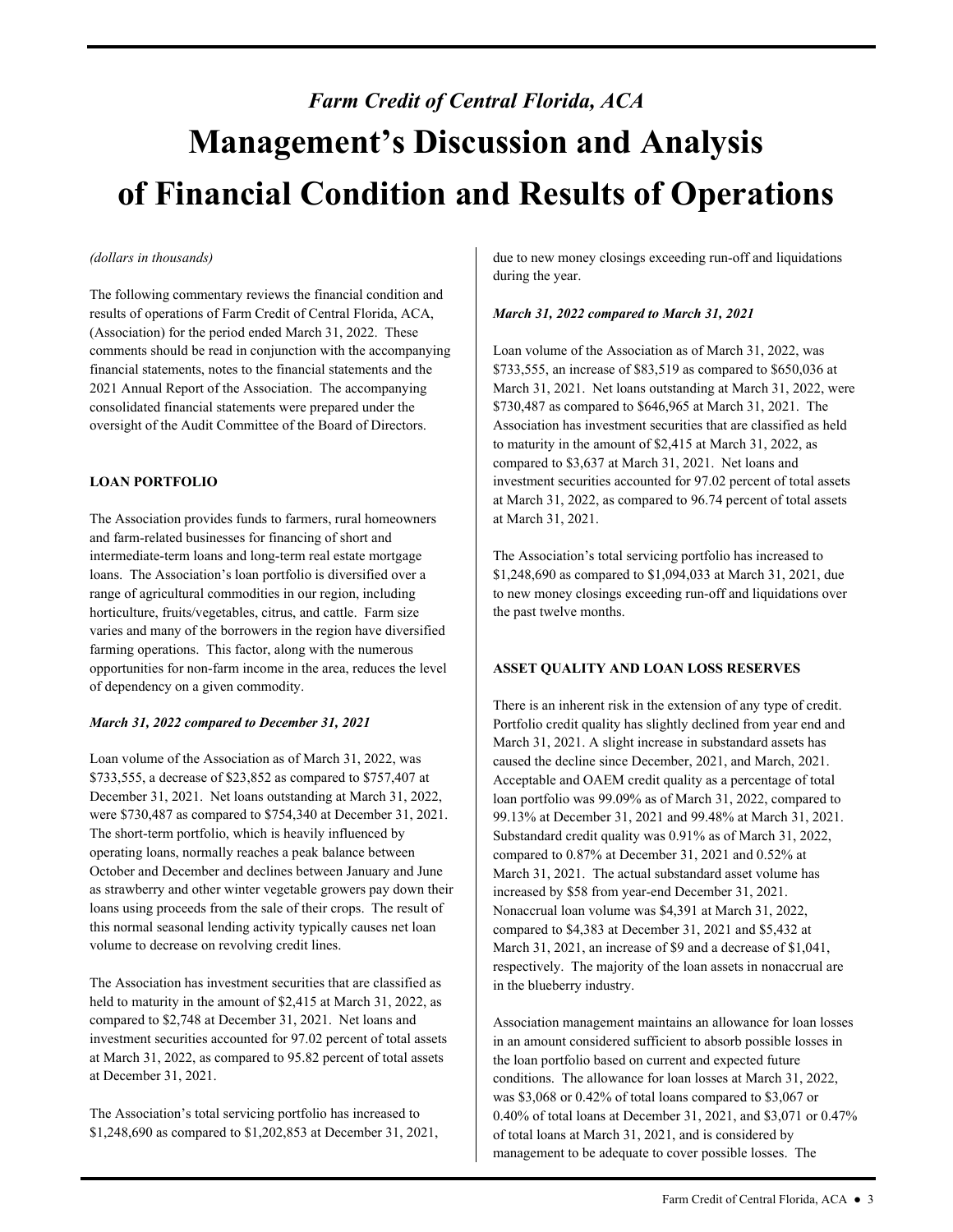# *Farm Credit of Central Florida, ACA*  **Management's Discussion and Analysis of Financial Condition and Results of Operations**

### *(dollars in thousands)*

The following commentary reviews the financial condition and results of operations of Farm Credit of Central Florida, ACA, (Association) for the period ended March 31, 2022. These comments should be read in conjunction with the accompanying financial statements, notes to the financial statements and the 2021 Annual Report of the Association. The accompanying consolidated financial statements were prepared under the oversight of the Audit Committee of the Board of Directors.

## **LOAN PORTFOLIO**

 horticulture, fruits/vegetables, citrus, and cattle. Farm size The Association provides funds to farmers, rural homeowners and farm-related businesses for financing of short and intermediate-term loans and long-term real estate mortgage loans. The Association's loan portfolio is diversified over a range of agricultural commodities in our region, including varies and many of the borrowers in the region have diversified farming operations. This factor, along with the numerous opportunities for non-farm income in the area, reduces the level of dependency on a given commodity.

#### *March 31, 2022 compared to December 31, 2021*

Loan volume of the Association as of March 31, 2022, was \$733,555, a decrease of \$23,852 as compared to \$757,407 at December 31, 2021. Net loans outstanding at March 31, 2022, were \$730,487 as compared to \$754,340 at December 31, 2021. The short-term portfolio, which is heavily influenced by operating loans, normally reaches a peak balance between October and December and declines between January and June as strawberry and other winter vegetable growers pay down their loans using proceeds from the sale of their crops. The result of this normal seasonal lending activity typically causes net loan volume to decrease on revolving credit lines.

The Association has investment securities that are classified as held to maturity in the amount of \$2,415 at March 31, 2022, as compared to \$2,748 at December 31, 2021. Net loans and investment securities accounted for 97.02 percent of total assets at March 31, 2022, as compared to 95.82 percent of total assets at December 31, 2021.

The Association's total servicing portfolio has increased to \$1,248,690 as compared to \$1,202,853 at December 31, 2021,

due to new money closings exceeding run-off and liquidations during the year.

#### *March 31, 2022 compared to March 31, 2021*

Loan volume of the Association as of March 31, 2022, was \$733,555, an increase of \$83,519 as compared to \$650,036 at March 31, 2021. Net loans outstanding at March 31, 2022, were \$730,487 as compared to \$646,965 at March 31, 2021. The Association has investment securities that are classified as held to maturity in the amount of \$2,415 at March 31, 2022, as compared to \$3,637 at March 31, 2021. Net loans and investment securities accounted for 97.02 percent of total assets at March 31, 2022, as compared to 96.74 percent of total assets at March 31, 2021.

The Association's total servicing portfolio has increased to \$1,248,690 as compared to \$1,094,033 at March 31, 2021, due to new money closings exceeding run-off and liquidations over the past twelve months.

## **ASSET QUALITY AND LOAN LOSS RESERVES**

 Portfolio credit quality has slightly declined from year end and increased by \$58 from year-end December 31, 2021. in the blueberry industry. There is an inherent risk in the extension of any type of credit. March 31, 2021. A slight increase in substandard assets has caused the decline since December, 2021, and March, 2021. Acceptable and OAEM credit quality as a percentage of total loan portfolio was 99.09% as of March 31, 2022, compared to 99.13% at December 31, 2021 and 99.48% at March 31, 2021. Substandard credit quality was 0.91% as of March 31, 2022, compared to 0.87% at December 31, 2021 and 0.52% at March 31, 2021. The actual substandard asset volume has Nonaccrual loan volume was \$4,391 at March 31, 2022, compared to \$4,383 at December 31, 2021 and \$5,432 at March 31, 2021, an increase of \$9 and a decrease of \$1,041, respectively. The majority of the loan assets in nonaccrual are

Association management maintains an allowance for loan losses in an amount considered sufficient to absorb possible losses in the loan portfolio based on current and expected future conditions. The allowance for loan losses at March 31, 2022, was \$3,068 or 0.42% of total loans compared to \$3,067 or 0.40% of total loans at December 31, 2021, and \$3,071 or 0.47% of total loans at March 31, 2021, and is considered by management to be adequate to cover possible losses. The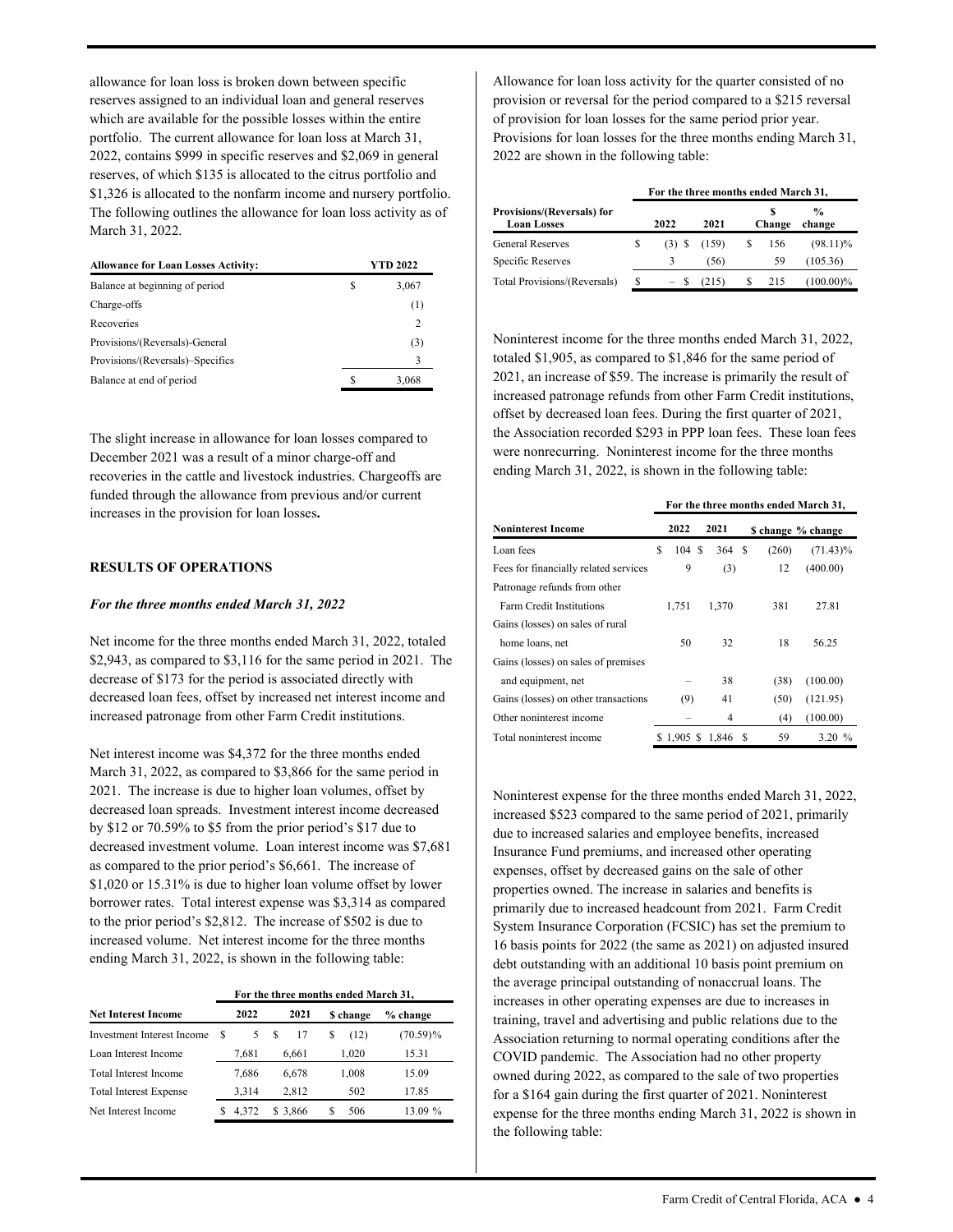allowance for loan loss is broken down between specific reserves assigned to an individual loan and general reserves which are available for the possible losses within the entire portfolio. The current allowance for loan loss at March 31, 2022, contains \$999 in specific reserves and \$2,069 in general reserves, of which \$135 is allocated to the citrus portfolio and \$1,326 is allocated to the nonfarm income and nursery portfolio. The following outlines the allowance for loan loss activity as of March 31, 2022.

| <b>Allowance for Loan Losses Activity:</b> |   | YTD 2022 |
|--------------------------------------------|---|----------|
| Balance at beginning of period             | S | 3,067    |
| Charge-offs                                |   | (1)      |
| Recoveries                                 |   | 2        |
| Provisions/(Reversals)-General             |   | (3)      |
| Provisions/(Reversals)-Specifics           |   |          |
| Balance at end of period                   |   | 3.068    |

The slight increase in allowance for loan losses compared to December 2021 was a result of a minor charge-off and recoveries in the cattle and livestock industries. Chargeoffs are funded through the allowance from previous and/or current increases in the provision for loan losses**.** 

#### **RESULTS OF OPERATIONS**

#### *For the three months ended March 31, 2022*

Net income for the three months ended March 31, 2022, totaled \$2,943, as compared to \$3,116 for the same period in 2021. The decrease of \$173 for the period is associated directly with decreased loan fees, offset by increased net interest income and increased patronage from other Farm Credit institutions.

 borrower rates. Total interest expense was \$3,314 as compared Net interest income was \$4,372 for the three months ended March 31, 2022, as compared to \$3,866 for the same period in 2021. The increase is due to higher loan volumes, offset by decreased loan spreads. Investment interest income decreased by \$12 or 70.59% to \$5 from the prior period's \$17 due to decreased investment volume. Loan interest income was \$7,681 as compared to the prior period's \$6,661. The increase of \$1,020 or 15.31% is due to higher loan volume offset by lower to the prior period's \$2,812. The increase of \$502 is due to increased volume. Net interest income for the three months ending March 31, 2022, is shown in the following table:

#### **For the three months ended March 31,**

| <b>Net Interest Income</b>    |   | 2022  |   | 2021     |   | <b>S</b> change | % change    |
|-------------------------------|---|-------|---|----------|---|-----------------|-------------|
| Investment Interest Income    | S |       | S | 17       | S | (12)            | $(70.59)\%$ |
| Loan Interest Income          |   | 7,681 |   | 6,661    |   | 1,020           | 15.31       |
| Total Interest Income         |   | 7,686 |   | 6.678    |   | 1,008           | 15.09       |
| <b>Total Interest Expense</b> |   | 3.314 |   | 2.812    |   | 502             | 17.85       |
| Net Interest Income           |   | 4.372 |   | \$ 3.866 |   | 506             | 13.09 %     |

Allowance for loan loss activity for the quarter consisted of no provision or reversal for the period compared to a \$215 reversal of provision for loan losses for the same period prior year. Provisions for loan losses for the three months ending March 31, 2022 are shown in the following table:

|                                                         | For the three months ended March 31, |          |       |   |        |                         |  |  |  |  |  |  |
|---------------------------------------------------------|--------------------------------------|----------|-------|---|--------|-------------------------|--|--|--|--|--|--|
| <b>Provisions/(Reversals) for</b><br><b>Loan Losses</b> |                                      | 2022     | 2021  |   | Change | $\frac{0}{0}$<br>change |  |  |  |  |  |  |
| <b>General Reserves</b>                                 | S                                    | $(3)$ \$ | (159) |   | 156    | $(98.11)\%$             |  |  |  |  |  |  |
| Specific Reserves                                       |                                      |          | (56)  |   | 59     | (105.36)                |  |  |  |  |  |  |
| Total Provisions/(Reversals)                            | S                                    |          | (215) | S | 215    | $(100.00)\%$            |  |  |  |  |  |  |

 2021, an increase of \$59. The increase is primarily the result of Noninterest income for the three months ended March 31, 2022, totaled \$1,905, as compared to \$1,846 for the same period of increased patronage refunds from other Farm Credit institutions, offset by decreased loan fees. During the first quarter of 2021, the Association recorded \$293 in PPP loan fees. These loan fees were nonrecurring. Noninterest income for the three months ending March 31, 2022, is shown in the following table:

|                                       | For the three months ended March 31, |             |      |        |   |       |                   |  |  |  |  |
|---------------------------------------|--------------------------------------|-------------|------|--------|---|-------|-------------------|--|--|--|--|
| <b>Noninterest Income</b>             |                                      | 2022        | 2021 |        |   |       | S change % change |  |  |  |  |
| Loan fees                             | S                                    | 104S        |      | 364 \$ |   | (260) | $(71.43)\%$       |  |  |  |  |
| Fees for financially related services |                                      | 9           |      | (3)    |   | 12    | (400.00)          |  |  |  |  |
| Patronage refunds from other          |                                      |             |      |        |   |       |                   |  |  |  |  |
| <b>Farm Credit Institutions</b>       |                                      | 1.751       |      | 1.370  |   | 381   | 27.81             |  |  |  |  |
| Gains (losses) on sales of rural      |                                      |             |      |        |   |       |                   |  |  |  |  |
| home loans, net                       |                                      | 50          |      | 32     |   | 18    | 56.25             |  |  |  |  |
| Gains (losses) on sales of premises   |                                      |             |      |        |   |       |                   |  |  |  |  |
| and equipment, net                    |                                      |             |      | 38     |   | (38)  | (100.00)          |  |  |  |  |
| Gains (losses) on other transactions  |                                      | (9)         |      | 41     |   | (50)  | (121.95)          |  |  |  |  |
| Other noninterest income              |                                      |             |      | 4      |   | (4)   | (100.00)          |  |  |  |  |
| Total noninterest income              |                                      | $$1,905$ \$ |      | 1.846  | S | 59    | 3.20%             |  |  |  |  |

 COVID pandemic. The Association had no other property the following table: Noninterest expense for the three months ended March 31, 2022, increased \$523 compared to the same period of 2021, primarily due to increased salaries and employee benefits, increased Insurance Fund premiums, and increased other operating expenses, offset by decreased gains on the sale of other properties owned. The increase in salaries and benefits is primarily due to increased headcount from 2021. Farm Credit System Insurance Corporation (FCSIC) has set the premium to 16 basis points for 2022 (the same as 2021) on adjusted insured debt outstanding with an additional 10 basis point premium on the average principal outstanding of nonaccrual loans. The increases in other operating expenses are due to increases in training, travel and advertising and public relations due to the Association returning to normal operating conditions after the owned during 2022, as compared to the sale of two properties for a \$164 gain during the first quarter of 2021. Noninterest expense for the three months ending March 31, 2022 is shown in the following table:<br>  $\label{eq:12} \text{Farm Credit of Central Florida, ACA $\bullet$ 4$}$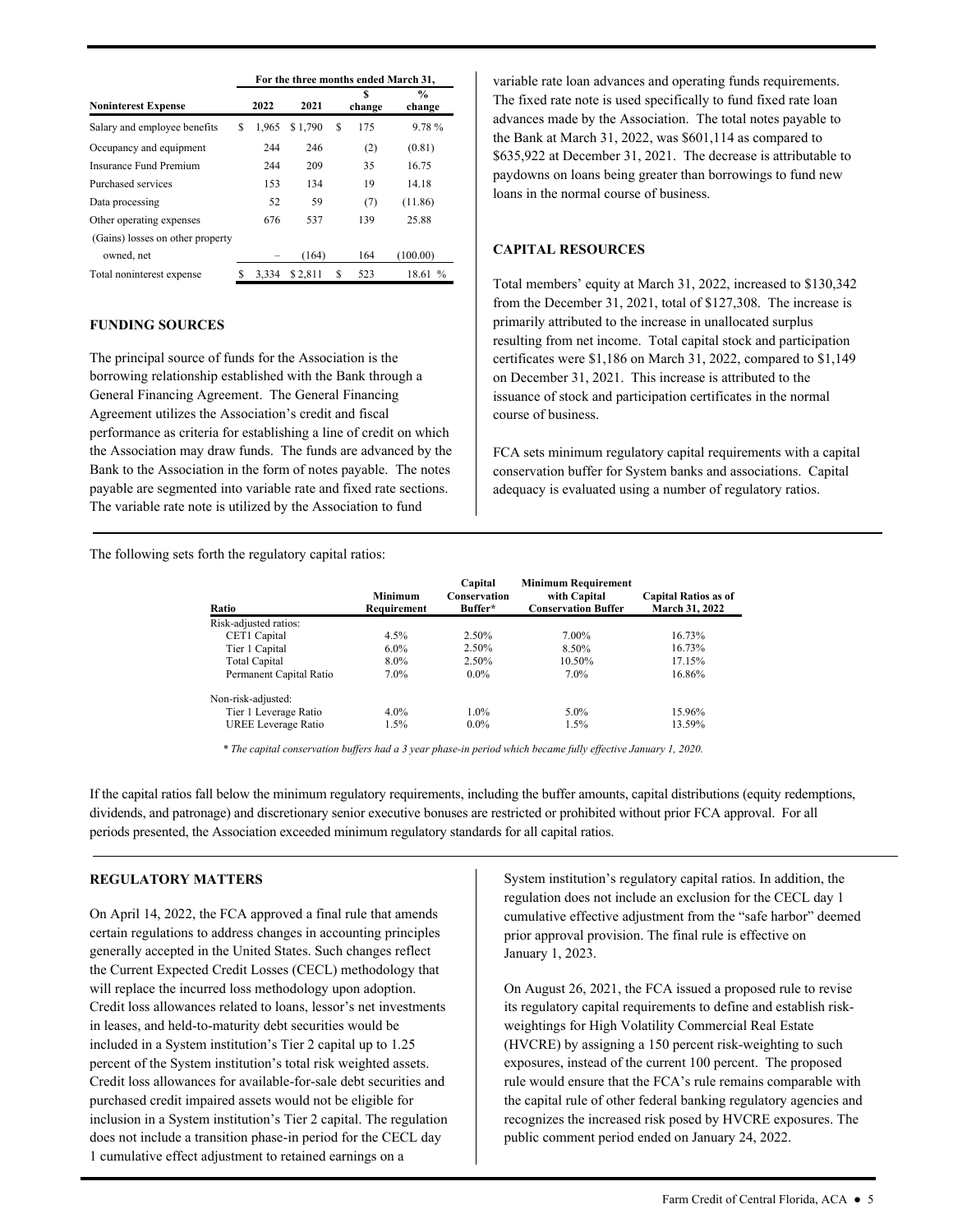|                                  |   | For the three months ended March 31, |         |   |             |                        |  |  |  |  |  |  |
|----------------------------------|---|--------------------------------------|---------|---|-------------|------------------------|--|--|--|--|--|--|
| <b>Noninterest Expense</b>       |   | 2022                                 | 2021    |   | S<br>change | $\%$<br>change         |  |  |  |  |  |  |
| Salary and employee benefits     | S | 1.965                                | \$1,790 | S | 175         | 9.78%                  |  |  |  |  |  |  |
| Occupancy and equipment          |   | 244                                  | 246     |   | (2)         | (0.81)                 |  |  |  |  |  |  |
| <b>Insurance Fund Premium</b>    |   | 244                                  | 209     |   | 35          | 16.75                  |  |  |  |  |  |  |
| Purchased services               |   | 153                                  | 134     |   | 19          | 14.18                  |  |  |  |  |  |  |
| Data processing                  |   | 52                                   | 59      |   | (7)         | (11.86)                |  |  |  |  |  |  |
| Other operating expenses         |   | 676                                  | 537     |   | 139         | 25.88                  |  |  |  |  |  |  |
| (Gains) losses on other property |   |                                      |         |   |             |                        |  |  |  |  |  |  |
| owned, net                       |   |                                      | (164)   |   | 164         | (100.00)               |  |  |  |  |  |  |
| Total noninterest expense        |   | 3.334                                | \$2,811 | S | 523         | 18.61<br>$\frac{0}{0}$ |  |  |  |  |  |  |

#### **FUNDING SOURCES**

 General Financing Agreement. The General Financing Agreement utilizes the Association's credit and fiscal The principal source of funds for the Association is the borrowing relationship established with the Bank through a performance as criteria for establishing a line of credit on which the Association may draw funds. The funds are advanced by the Bank to the Association in the form of notes payable. The notes payable are segmented into variable rate and fixed rate sections. The variable rate note is utilized by the Association to fund

The following sets forth the regulatory capital ratios:

variable rate loan advances and operating funds requirements. The fixed rate note is used specifically to fund fixed rate loan advances made by the Association. The total notes payable to the Bank at March 31, 2022, was \$601,114 as compared to \$635,922 at December 31, 2021. The decrease is attributable to paydowns on loans being greater than borrowings to fund new loans in the normal course of business.

## **CAPITAL RESOURCES**

 resulting from net income. Total capital stock and participation Total members' equity at March 31, 2022, increased to \$130,342 from the December 31, 2021, total of \$127,308. The increase is primarily attributed to the increase in unallocated surplus certificates were \$1,186 on March 31, 2022, compared to \$1,149 on December 31, 2021. This increase is attributed to the issuance of stock and participation certificates in the normal course of business.

FCA sets minimum regulatory capital requirements with a capital conservation buffer for System banks and associations. Capital adequacy is evaluated using a number of regulatory ratios.

| Ratio                   | <b>Minimum</b><br>Requirement | Capital<br>Conservation<br>Buffer* | <b>Minimum Requirement</b><br>with Capital<br><b>Conservation Buffer</b> | <b>Capital Ratios as of</b><br>March 31, 2022 |
|-------------------------|-------------------------------|------------------------------------|--------------------------------------------------------------------------|-----------------------------------------------|
| Risk-adjusted ratios:   |                               |                                    |                                                                          |                                               |
| CET1 Capital            | 4.5%                          | 2.50%                              | 7.00%                                                                    | 16.73%                                        |
| Tier 1 Capital          | $6.0\%$                       | 2.50%                              | 8.50%                                                                    | 16.73%                                        |
| Total Capital           | 8.0%                          | 2.50%                              | 10.50%                                                                   | 17.15%                                        |
| Permanent Capital Ratio | 7.0%                          | $0.0\%$                            | 7.0%                                                                     | 16.86%                                        |
| Non-risk-adjusted:      |                               |                                    |                                                                          |                                               |
| Tier 1 Leverage Ratio   | $4.0\%$                       | $1.0\%$                            | $5.0\%$                                                                  | 15.96%                                        |
| UREE Leverage Ratio     | $1.5\%$                       | $0.0\%$                            | $1.5\%$                                                                  | 13.59%                                        |

 *\* The capital conservation buffers had a 3 year phase-in period which became fully effective January 1, 2020.* 

 periods presented, the Association exceeded minimum regulatory standards for all capital ratios. If the capital ratios fall below the minimum regulatory requirements, including the buffer amounts, capital distributions (equity redemptions, dividends, and patronage) and discretionary senior executive bonuses are restricted or prohibited without prior FCA approval. For all

## **REGULATORY MATTERS**

On April 14, 2022, the FCA approved a final rule that amends certain regulations to address changes in accounting principles generally accepted in the United States. Such changes reflect the Current Expected Credit Losses (CECL) methodology that will replace the incurred loss methodology upon adoption. Credit loss allowances related to loans, lessor's net investments in leases, and held-to-maturity debt securities would be included in a System institution's Tier 2 capital up to 1.25 percent of the System institution's total risk weighted assets. Credit loss allowances for available-for-sale debt securities and purchased credit impaired assets would not be eligible for inclusion in a System institution's Tier 2 capital. The regulation does not include a transition phase-in period for the CECL day 1 cumulative effect adjustment to retained earnings on a

System institution's regulatory capital ratios. In addition, the regulation does not include an exclusion for the CECL day 1 cumulative effective adjustment from the "safe harbor" deemed prior approval provision. The final rule is effective on January 1, 2023.

On August 26, 2021, the FCA issued a proposed rule to revise its regulatory capital requirements to define and establish riskweightings for High Volatility Commercial Real Estate (HVCRE) by assigning a 150 percent risk-weighting to such exposures, instead of the current 100 percent. The proposed rule would ensure that the FCA's rule remains comparable with the capital rule of other federal banking regulatory agencies and recognizes the increased risk posed by HVCRE exposures. The public comment period ended on January 24, 2022.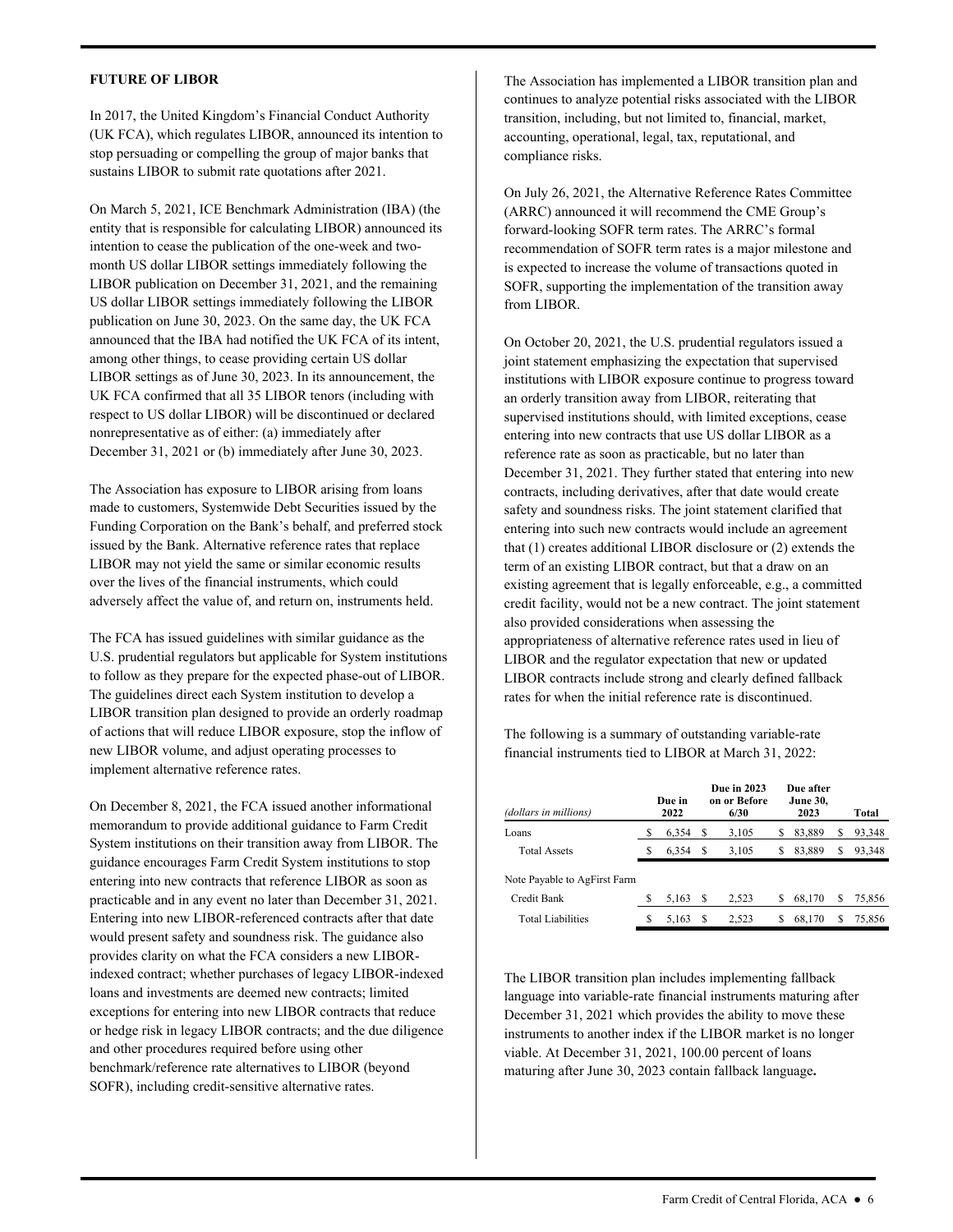#### **FUTURE OF LIBOR**

In 2017, the United Kingdom's Financial Conduct Authority (UK FCA), which regulates LIBOR, announced its intention to stop persuading or compelling the group of major banks that sustains LIBOR to submit rate quotations after 2021.

On March 5, 2021, ICE Benchmark Administration (IBA) (the entity that is responsible for calculating LIBOR) announced its intention to cease the publication of the one-week and twomonth US dollar LIBOR settings immediately following the LIBOR publication on December 31, 2021, and the remaining US dollar LIBOR settings immediately following the LIBOR publication on June 30, 2023. On the same day, the UK FCA announced that the IBA had notified the UK FCA of its intent, among other things, to cease providing certain US dollar LIBOR settings as of June 30, 2023. In its announcement, the UK FCA confirmed that all 35 LIBOR tenors (including with respect to US dollar LIBOR) will be discontinued or declared nonrepresentative as of either: (a) immediately after December 31, 2021 or (b) immediately after June 30, 2023.

The Association has exposure to LIBOR arising from loans made to customers, Systemwide Debt Securities issued by the Funding Corporation on the Bank's behalf, and preferred stock issued by the Bank. Alternative reference rates that replace LIBOR may not yield the same or similar economic results over the lives of the financial instruments, which could adversely affect the value of, and return on, instruments held.

 The guidelines direct each System institution to develop a implement alternative reference rates. The FCA has issued guidelines with similar guidance as the U.S. prudential regulators but applicable for System institutions to follow as they prepare for the expected phase-out of LIBOR. LIBOR transition plan designed to provide an orderly roadmap of actions that will reduce LIBOR exposure, stop the inflow of new LIBOR volume, and adjust operating processes to

 loans and investments are deemed new contracts; limited On December 8, 2021, the FCA issued another informational memorandum to provide additional guidance to Farm Credit System institutions on their transition away from LIBOR. The guidance encourages Farm Credit System institutions to stop entering into new contracts that reference LIBOR as soon as practicable and in any event no later than December 31, 2021. Entering into new LIBOR-referenced contracts after that date would present safety and soundness risk. The guidance also provides clarity on what the FCA considers a new LIBORindexed contract; whether purchases of legacy LIBOR-indexed exceptions for entering into new LIBOR contracts that reduce or hedge risk in legacy LIBOR contracts; and the due diligence and other procedures required before using other benchmark/reference rate alternatives to LIBOR (beyond SOFR), including credit-sensitive alternative rates.

 transition, including, but not limited to, financial, market, The Association has implemented a LIBOR transition plan and continues to analyze potential risks associated with the LIBOR accounting, operational, legal, tax, reputational, and compliance risks.

On July 26, 2021, the Alternative Reference Rates Committee (ARRC) announced it will recommend the CME Group's forward-looking SOFR term rates. The ARRC's formal recommendation of SOFR term rates is a major milestone and is expected to increase the volume of transactions quoted in SOFR, supporting the implementation of the transition away from LIBOR.

 LIBOR and the regulator expectation that new or updated On October 20, 2021, the U.S. prudential regulators issued a joint statement emphasizing the expectation that supervised institutions with LIBOR exposure continue to progress toward an orderly transition away from LIBOR, reiterating that supervised institutions should, with limited exceptions, cease entering into new contracts that use US dollar LIBOR as a reference rate as soon as practicable, but no later than December 31, 2021. They further stated that entering into new contracts, including derivatives, after that date would create safety and soundness risks. The joint statement clarified that entering into such new contracts would include an agreement that (1) creates additional LIBOR disclosure or (2) extends the term of an existing LIBOR contract, but that a draw on an existing agreement that is legally enforceable, e.g., a committed credit facility, would not be a new contract. The joint statement also provided considerations when assessing the appropriateness of alternative reference rates used in lieu of LIBOR contracts include strong and clearly defined fallback rates for when the initial reference rate is discontinued.

The following is a summary of outstanding variable-rate financial instruments tied to LIBOR at March 31, 2022:

| (dollars in millions)        |   | Due in<br>2022 |   | <b>Due in 2023</b><br>on or Before<br>6/30 |   | Due after<br><b>June 30.</b><br>2023 |   | Total  |
|------------------------------|---|----------------|---|--------------------------------------------|---|--------------------------------------|---|--------|
| Loans                        |   | 6.354          | S | 3,105                                      | S | 83,889                               | S | 93,348 |
| <b>Total Assets</b>          | S | 6.354          | S | 3.105                                      | S | 83.889                               | S | 93,348 |
| Note Payable to AgFirst Farm |   |                |   |                                            |   |                                      |   |        |
| Credit Bank                  | S | 5.163          | S | 2,523                                      | S | 68,170                               | S | 75,856 |
| <b>Total Liabilities</b>     | S | 5,163          | S | 2.523                                      | S | 68.170                               | S | 75.856 |

The LIBOR transition plan includes implementing fallback language into variable-rate financial instruments maturing after December 31, 2021 which provides the ability to move these instruments to another index if the LIBOR market is no longer viable. At December 31, 2021, 100.00 percent of loans maturing after June 30, 2023 contain fallback language**.**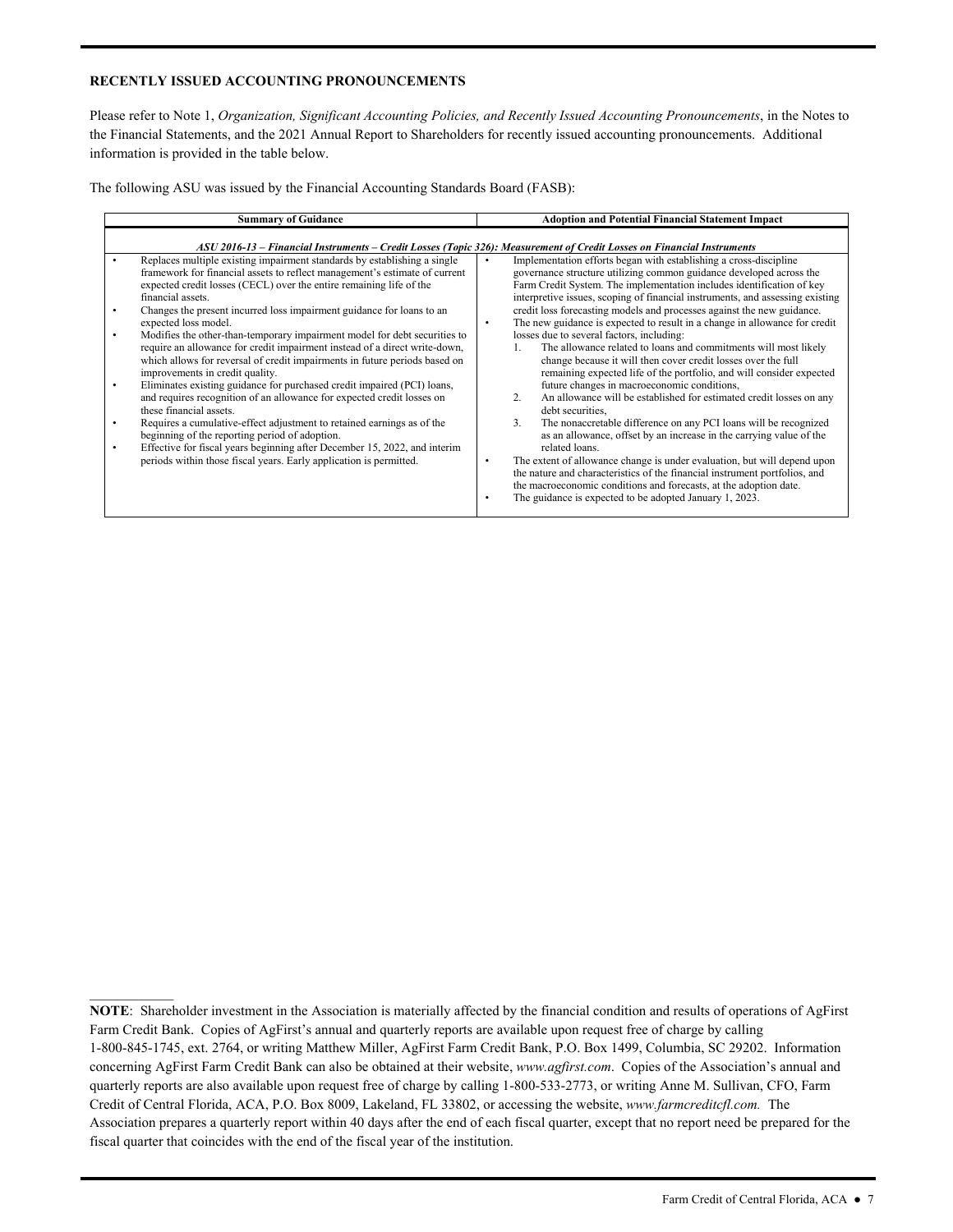### **RECENTLY ISSUED ACCOUNTING PRONOUNCEMENTS**

Please refer to Note 1, *Organization, Significant Accounting Policies, and Recently Issued Accounting Pronouncements*, in the Notes to the Financial Statements, and the 2021 Annual Report to Shareholders for recently issued accounting pronouncements. Additional information is provided in the table below.

The following ASU was issued by the Financial Accounting Standards Board (FASB):

| <b>Summary of Guidance</b>                                                                                                                                                                                                                                                                                                                                                                                                                                                                                                                                                                                                                                                                                                                                                                                                                                                                                                                                                                                                                                                                     | <b>Adoption and Potential Financial Statement Impact</b>                                                                                                                                                                                                                                                                                                                                                                                                                                                                                                                                                                                                                                                                                                                                                                                                                                                                                                                                                                                                                                                                                   |
|------------------------------------------------------------------------------------------------------------------------------------------------------------------------------------------------------------------------------------------------------------------------------------------------------------------------------------------------------------------------------------------------------------------------------------------------------------------------------------------------------------------------------------------------------------------------------------------------------------------------------------------------------------------------------------------------------------------------------------------------------------------------------------------------------------------------------------------------------------------------------------------------------------------------------------------------------------------------------------------------------------------------------------------------------------------------------------------------|--------------------------------------------------------------------------------------------------------------------------------------------------------------------------------------------------------------------------------------------------------------------------------------------------------------------------------------------------------------------------------------------------------------------------------------------------------------------------------------------------------------------------------------------------------------------------------------------------------------------------------------------------------------------------------------------------------------------------------------------------------------------------------------------------------------------------------------------------------------------------------------------------------------------------------------------------------------------------------------------------------------------------------------------------------------------------------------------------------------------------------------------|
|                                                                                                                                                                                                                                                                                                                                                                                                                                                                                                                                                                                                                                                                                                                                                                                                                                                                                                                                                                                                                                                                                                | ASU 2016-13 – Financial Instruments – Credit Losses (Topic 326): Measurement of Credit Losses on Financial Instruments                                                                                                                                                                                                                                                                                                                                                                                                                                                                                                                                                                                                                                                                                                                                                                                                                                                                                                                                                                                                                     |
| Replaces multiple existing impairment standards by establishing a single<br>framework for financial assets to reflect management's estimate of current<br>expected credit losses (CECL) over the entire remaining life of the<br>financial assets.<br>Changes the present incurred loss impairment guidance for loans to an<br>expected loss model.<br>Modifies the other-than-temporary impairment model for debt securities to<br>require an allowance for credit impairment instead of a direct write-down,<br>which allows for reversal of credit impairments in future periods based on<br>improvements in credit quality.<br>Eliminates existing guidance for purchased credit impaired (PCI) loans,<br>and requires recognition of an allowance for expected credit losses on<br>these financial assets.<br>Requires a cumulative-effect adjustment to retained earnings as of the<br>beginning of the reporting period of adoption.<br>Effective for fiscal years beginning after December 15, 2022, and interim<br>periods within those fiscal years. Early application is permitted. | Implementation efforts began with establishing a cross-discipline<br>$\bullet$<br>governance structure utilizing common guidance developed across the<br>Farm Credit System. The implementation includes identification of key<br>interpretive issues, scoping of financial instruments, and assessing existing<br>credit loss forecasting models and processes against the new guidance.<br>The new guidance is expected to result in a change in allowance for credit<br>losses due to several factors, including:<br>The allowance related to loans and commitments will most likely<br>1.<br>change because it will then cover credit losses over the full<br>remaining expected life of the portfolio, and will consider expected<br>future changes in macroeconomic conditions,<br>An allowance will be established for estimated credit losses on any<br>2.<br>debt securities.<br>3.<br>The nonaccretable difference on any PCI loans will be recognized<br>as an allowance, offset by an increase in the carrying value of the<br>related loans.<br>The extent of allowance change is under evaluation, but will depend upon<br>٠ |
|                                                                                                                                                                                                                                                                                                                                                                                                                                                                                                                                                                                                                                                                                                                                                                                                                                                                                                                                                                                                                                                                                                | the nature and characteristics of the financial instrument portfolios, and<br>the macroeconomic conditions and forecasts, at the adoption date.<br>The guidance is expected to be adopted January 1, 2023.                                                                                                                                                                                                                                                                                                                                                                                                                                                                                                                                                                                                                                                                                                                                                                                                                                                                                                                                 |
|                                                                                                                                                                                                                                                                                                                                                                                                                                                                                                                                                                                                                                                                                                                                                                                                                                                                                                                                                                                                                                                                                                |                                                                                                                                                                                                                                                                                                                                                                                                                                                                                                                                                                                                                                                                                                                                                                                                                                                                                                                                                                                                                                                                                                                                            |

 Credit of Central Florida, ACA, P.O. Box 8009, Lakeland, FL 33802, or accessing the website, *[www.farmcreditcfl.com.](www.farmcreditcfl.com)* The **NOTE**: Shareholder investment in the Association is materially affected by the financial condition and results of operations of AgFirst Farm Credit Bank. Copies of AgFirst's annual and quarterly reports are available upon request free of charge by calling 1-800-845-1745, ext. 2764, or writing Matthew Miller, AgFirst Farm Credit Bank, P.O. Box 1499, Columbia, SC 29202. Information concerning AgFirst Farm Credit Bank can also be obtained at their website, *<www.agfirst.com>*. Copies of the Association's annual and quarterly reports are also available upon request free of charge by calling 1-800-533-2773, or writing Anne M. Sullivan, CFO, Farm Association prepares a quarterly report within 40 days after the end of each fiscal quarter, except that no report need be prepared for the fiscal quarter that coincides with the end of the fiscal year of the institution.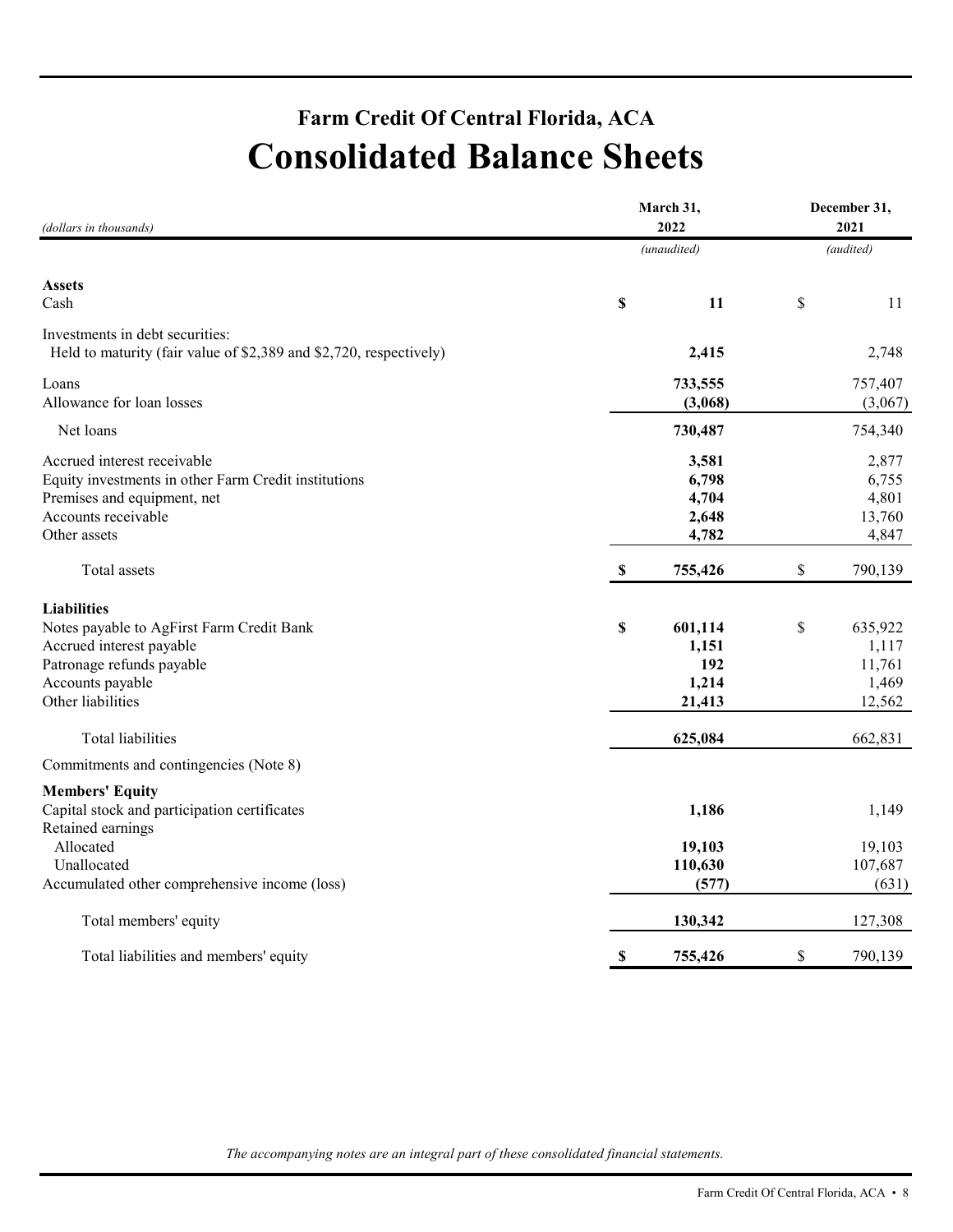## **Farm Credit Of Central Florida, ACA Consolidated Balance Sheets**

| (dollars in thousands)                                                                                                                                            | March 31,                 | December 31,<br>2021                       |    |                                               |  |
|-------------------------------------------------------------------------------------------------------------------------------------------------------------------|---------------------------|--------------------------------------------|----|-----------------------------------------------|--|
|                                                                                                                                                                   |                           | (unaudited)                                |    | (audited)                                     |  |
| <b>Assets</b><br>Cash                                                                                                                                             | \$                        | 11                                         | \$ | 11                                            |  |
| Investments in debt securities:<br>Held to maturity (fair value of \$2,389 and \$2,720, respectively)                                                             |                           | 2,415                                      |    | 2,748                                         |  |
| Loans<br>Allowance for loan losses                                                                                                                                |                           | 733,555<br>(3,068)                         |    | 757,407<br>(3,067)                            |  |
| Net loans                                                                                                                                                         |                           | 730,487                                    |    | 754,340                                       |  |
| Accrued interest receivable<br>Equity investments in other Farm Credit institutions<br>Premises and equipment, net<br>Accounts receivable<br>Other assets         |                           | 3,581<br>6,798<br>4,704<br>2,648<br>4,782  |    | 2,877<br>6,755<br>4,801<br>13,760<br>4,847    |  |
| Total assets                                                                                                                                                      | $\boldsymbol{\mathsf{S}}$ | 755,426                                    | \$ | 790,139                                       |  |
| <b>Liabilities</b><br>Notes payable to AgFirst Farm Credit Bank<br>Accrued interest payable<br>Patronage refunds payable<br>Accounts payable<br>Other liabilities | \$                        | 601,114<br>1,151<br>192<br>1,214<br>21,413 | \$ | 635,922<br>1,117<br>11,761<br>1,469<br>12,562 |  |
| Total liabilities                                                                                                                                                 |                           | 625,084                                    |    | 662,831                                       |  |
| Commitments and contingencies (Note 8)                                                                                                                            |                           |                                            |    |                                               |  |
| <b>Members' Equity</b><br>Capital stock and participation certificates<br>Retained earnings<br>Allocated                                                          |                           | 1,186<br>19,103                            |    | 1,149<br>19,103                               |  |
| Unallocated<br>Accumulated other comprehensive income (loss)                                                                                                      |                           | 110,630<br>(577)                           |    | 107,687<br>(631)                              |  |
| Total members' equity                                                                                                                                             |                           | 130,342                                    |    | 127,308                                       |  |
| Total liabilities and members' equity                                                                                                                             | $\boldsymbol{\mathsf{S}}$ | 755,426                                    | \$ | 790,139                                       |  |

*The accompanying notes are an integral part of these consolidated financial statements.*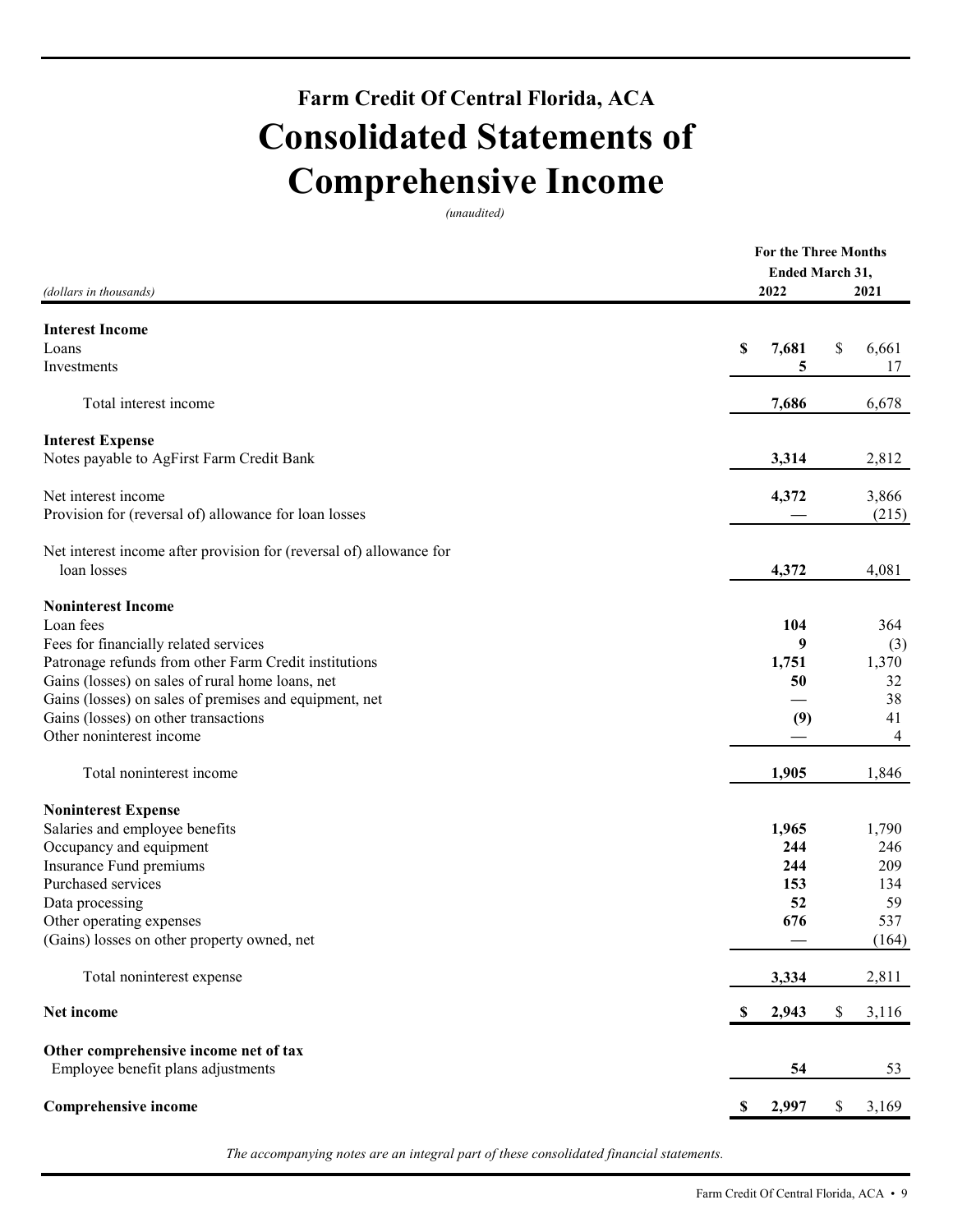## **Farm Credit Of Central Florida, ACA Consolidated Statements of Comprehensive Income**

*(unaudited)* 

| (dollars in thousands)                                              |    | Ended March 31,<br>2022 | For the Three Months<br>2021 |       |  |
|---------------------------------------------------------------------|----|-------------------------|------------------------------|-------|--|
|                                                                     |    |                         |                              |       |  |
| <b>Interest Income</b>                                              |    |                         |                              |       |  |
| Loans                                                               | \$ | 7,681                   | \$                           | 6,661 |  |
| Investments                                                         |    | 5                       |                              | 17    |  |
| Total interest income                                               |    | 7,686                   |                              | 6,678 |  |
| <b>Interest Expense</b>                                             |    |                         |                              |       |  |
| Notes payable to AgFirst Farm Credit Bank                           |    | 3,314                   |                              | 2,812 |  |
| Net interest income                                                 |    | 4,372                   |                              | 3,866 |  |
| Provision for (reversal of) allowance for loan losses               |    |                         |                              | (215) |  |
| Net interest income after provision for (reversal of) allowance for |    |                         |                              |       |  |
| loan losses                                                         |    | 4,372                   |                              | 4,081 |  |
| <b>Noninterest Income</b>                                           |    |                         |                              |       |  |
| Loan fees                                                           |    | 104                     |                              | 364   |  |
| Fees for financially related services                               |    | 9                       |                              | (3)   |  |
| Patronage refunds from other Farm Credit institutions               |    | 1,751                   |                              | 1,370 |  |
| Gains (losses) on sales of rural home loans, net                    |    | 50                      |                              | 32    |  |
| Gains (losses) on sales of premises and equipment, net              |    |                         |                              | 38    |  |
| Gains (losses) on other transactions                                |    | (9)                     |                              | 41    |  |
| Other noninterest income                                            |    |                         |                              | 4     |  |
| Total noninterest income                                            |    | 1,905                   |                              | 1,846 |  |
| <b>Noninterest Expense</b>                                          |    |                         |                              |       |  |
| Salaries and employee benefits                                      |    | 1,965                   |                              | 1,790 |  |
| Occupancy and equipment                                             |    | 244                     |                              | 246   |  |
| Insurance Fund premiums                                             |    | 244                     |                              | 209   |  |
| Purchased services                                                  |    | 153                     |                              | 134   |  |
| Data processing                                                     |    | 52                      |                              | 59    |  |
| Other operating expenses                                            |    | 676                     |                              | 537   |  |
| (Gains) losses on other property owned, net                         |    |                         |                              | (164) |  |
| Total noninterest expense                                           |    | 3,334                   |                              | 2,811 |  |
| Net income                                                          | \$ | 2,943                   | \$                           | 3,116 |  |
| Other comprehensive income net of tax                               |    |                         |                              |       |  |
| Employee benefit plans adjustments                                  |    | 54                      |                              | 53    |  |
| Comprehensive income                                                | S. | 2,997                   | \$                           | 3,169 |  |

*The accompanying notes are an integral part of these consolidated financial statements.*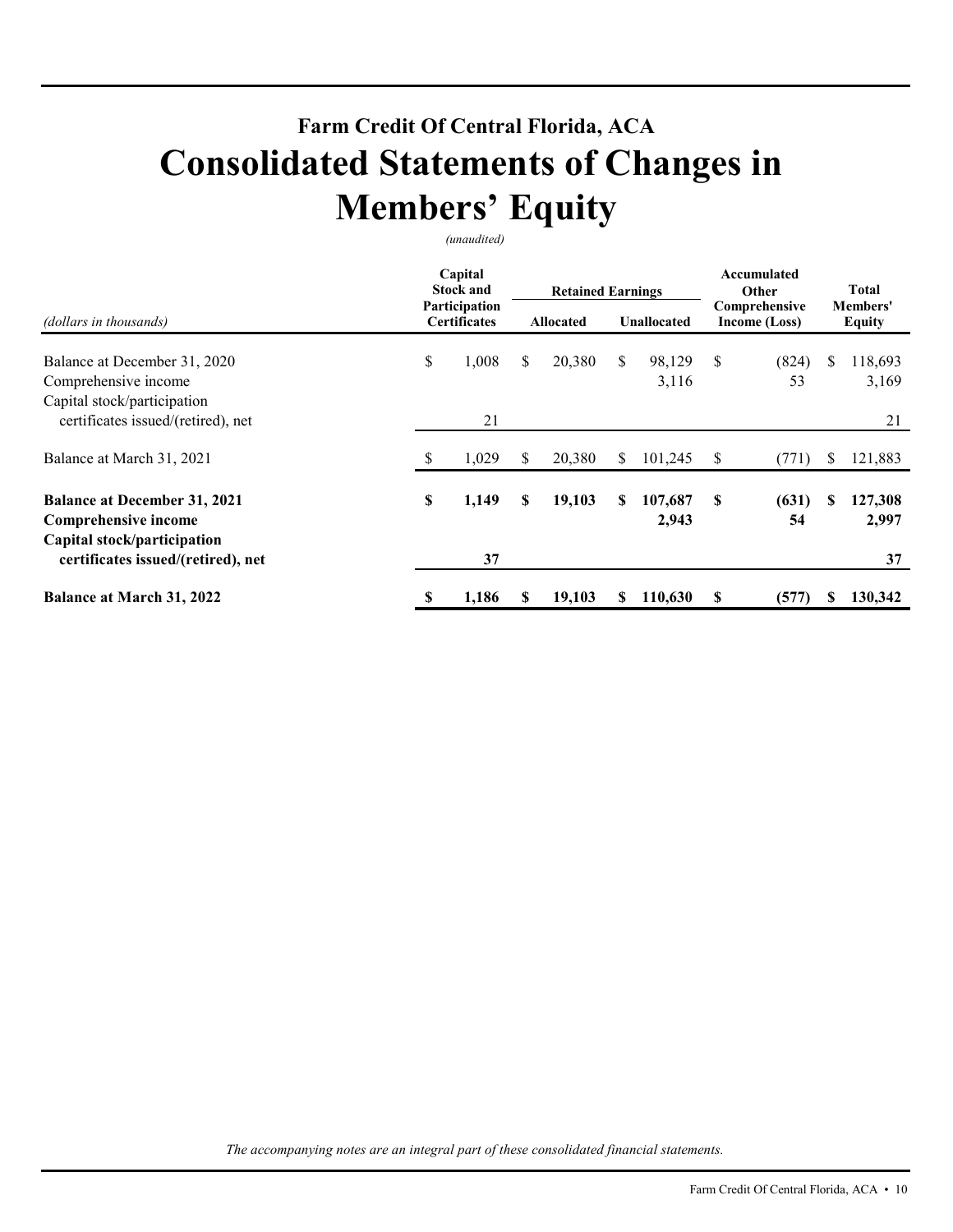## **Farm Credit Of Central Florida, ACA Consolidated Statements of Changes in Members' Equity**

*(unaudited)* 

| (dollars in thousands)                                                                     | Capital<br><b>Stock and</b><br>Participation<br><b>Certificates</b> |       | <b>Retained Earnings</b><br><b>Allocated</b> |        |    | <b>Unallocated</b> | Accumulated<br>Other<br>Comprehensive<br>Income (Loss) |             | <b>Total</b><br><b>Members'</b><br><b>Equity</b> |                  |
|--------------------------------------------------------------------------------------------|---------------------------------------------------------------------|-------|----------------------------------------------|--------|----|--------------------|--------------------------------------------------------|-------------|--------------------------------------------------|------------------|
| Balance at December 31, 2020<br>Comprehensive income<br>Capital stock/participation        | \$                                                                  | 1,008 | \$                                           | 20,380 | \$ | 98,129<br>3,116    | \$                                                     | (824)<br>53 | S.                                               | 118,693<br>3,169 |
| certificates issued/(retired), net                                                         |                                                                     | 21    |                                              |        |    |                    |                                                        |             |                                                  | 21               |
| Balance at March 31, 2021                                                                  | S                                                                   | 1,029 | S.                                           | 20,380 | S. | 101,245            | S                                                      | (771)       | S                                                | 121,883          |
| <b>Balance at December 31, 2021</b><br>Comprehensive income<br>Capital stock/participation | \$                                                                  | 1,149 | \$                                           | 19,103 | S  | 107,687<br>2,943   | \$                                                     | (631)<br>54 | S                                                | 127,308<br>2,997 |
| certificates issued/(retired), net                                                         |                                                                     | 37    |                                              |        |    |                    |                                                        |             |                                                  | 37               |
| <b>Balance at March 31, 2022</b>                                                           | \$                                                                  | 1,186 | S                                            | 19,103 | S  | 110,630            | S                                                      | (577)       | S                                                | 130,342          |

*The accompanying notes are an integral part of these consolidated financial statements.*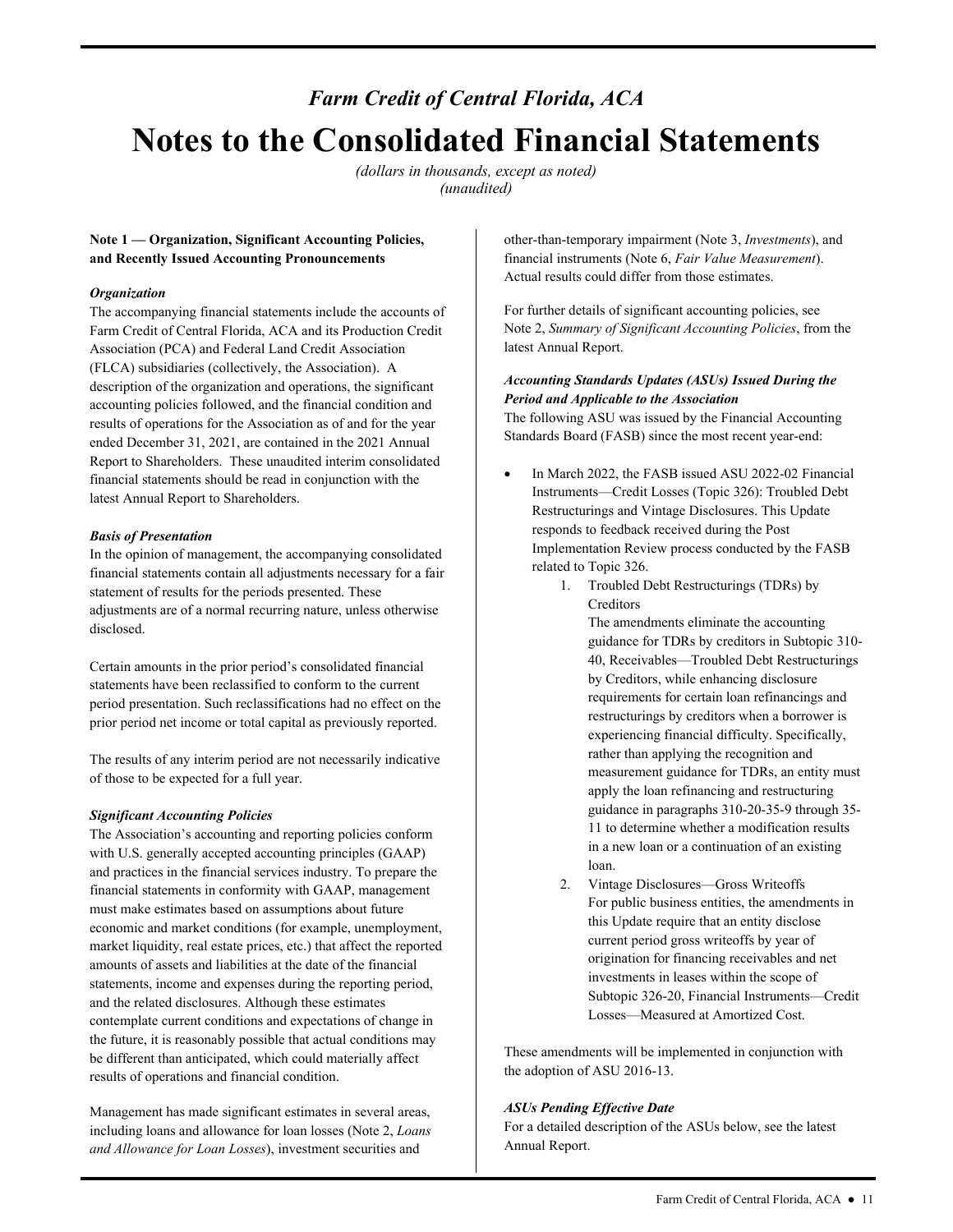## *Farm Credit of Central Florida, ACA*  **Notes to the Consolidated Financial Statements**

*(dollars in thousands, except as noted) (unaudited)* 

## **Note 1 — Organization, Significant Accounting Policies, and Recently Issued Accounting Pronouncements**

### *Organization*

The accompanying financial statements include the accounts of Farm Credit of Central Florida, ACA and its Production Credit Association (PCA) and Federal Land Credit Association (FLCA) subsidiaries (collectively, the Association). A description of the organization and operations, the significant accounting policies followed, and the financial condition and results of operations for the Association as of and for the year ended December 31, 2021, are contained in the 2021 Annual Report to Shareholders. These unaudited interim consolidated financial statements should be read in conjunction with the latest Annual Report to Shareholders.

### *Basis of Presentation*

In the opinion of management, the accompanying consolidated financial statements contain all adjustments necessary for a fair statement of results for the periods presented. These adjustments are of a normal recurring nature, unless otherwise disclosed.

Certain amounts in the prior period's consolidated financial statements have been reclassified to conform to the current period presentation. Such reclassifications had no effect on the prior period net income or total capital as previously reported.

 of those to be expected for a full year. The results of any interim period are not necessarily indicative

#### *Significant Accounting Policies*

The Association's accounting and reporting policies conform with U.S. generally accepted accounting principles (GAAP) and practices in the financial services industry. To prepare the financial statements in conformity with GAAP, management must make estimates based on assumptions about future economic and market conditions (for example, unemployment, market liquidity, real estate prices, etc.) that affect the reported amounts of assets and liabilities at the date of the financial statements, income and expenses during the reporting period, and the related disclosures. Although these estimates contemplate current conditions and expectations of change in the future, it is reasonably possible that actual conditions may be different than anticipated, which could materially affect results of operations and financial condition. **And other interaction and the securities and the securities and the securities and the securities and the securities and the securities and the securities and the securities and the securities and the securities and the s** 

and Allowance for Loan Losses), investment securities and Management has made significant estimates in several areas, including loans and allowance for loan losses (Note 2, *Loans*  financial instruments (Note 6, *Fair Value Measurement*). Actual results could differ from those estimates.

For further details of significant accounting policies, see Note 2, *Summary of Significant Accounting Policies*, from the latest Annual Report.

## *Accounting Standards Updates (ASUs) Issued During the Period and Applicable to the Association*

 Standards Board (FASB) since the most recent year-end: The following ASU was issued by the Financial Accounting

- In March 2022, the FASB issued ASU 2022-02 Financial Instruments—Credit Losses (Topic 326): Troubled Debt Restructurings and Vintage Disclosures. This Update responds to feedback received during the Post Implementation Review process conducted by the FASB related to Topic 326.
	- 1. Troubled Debt Restructurings (TDRs) by Creditors

The amendments eliminate the accounting guidance for TDRs by creditors in Subtopic 310- 40, Receivables—Troubled Debt Restructurings by Creditors, while enhancing disclosure requirements for certain loan refinancings and restructurings by creditors when a borrower is experiencing financial difficulty. Specifically, rather than applying the recognition and measurement guidance for TDRs, an entity must apply the loan refinancing and restructuring guidance in paragraphs 310-20-35-9 through 35- 11 to determine whether a modification results in a new loan or a continuation of an existing loan.

 current period gross writeoffs by year of Losses—Measured at Amortized Cost. 2. Vintage Disclosures—Gross Writeoffs For public business entities, the amendments in this Update require that an entity disclose origination for financing receivables and net investments in leases within the scope of Subtopic 326-20, Financial Instruments—Credit

These amendments will be implemented in conjunction with the adoption of ASU 2016-13.

#### *ASUs Pending Effective Date*

For a detailed description of the ASUs below, see the latest Annual Report.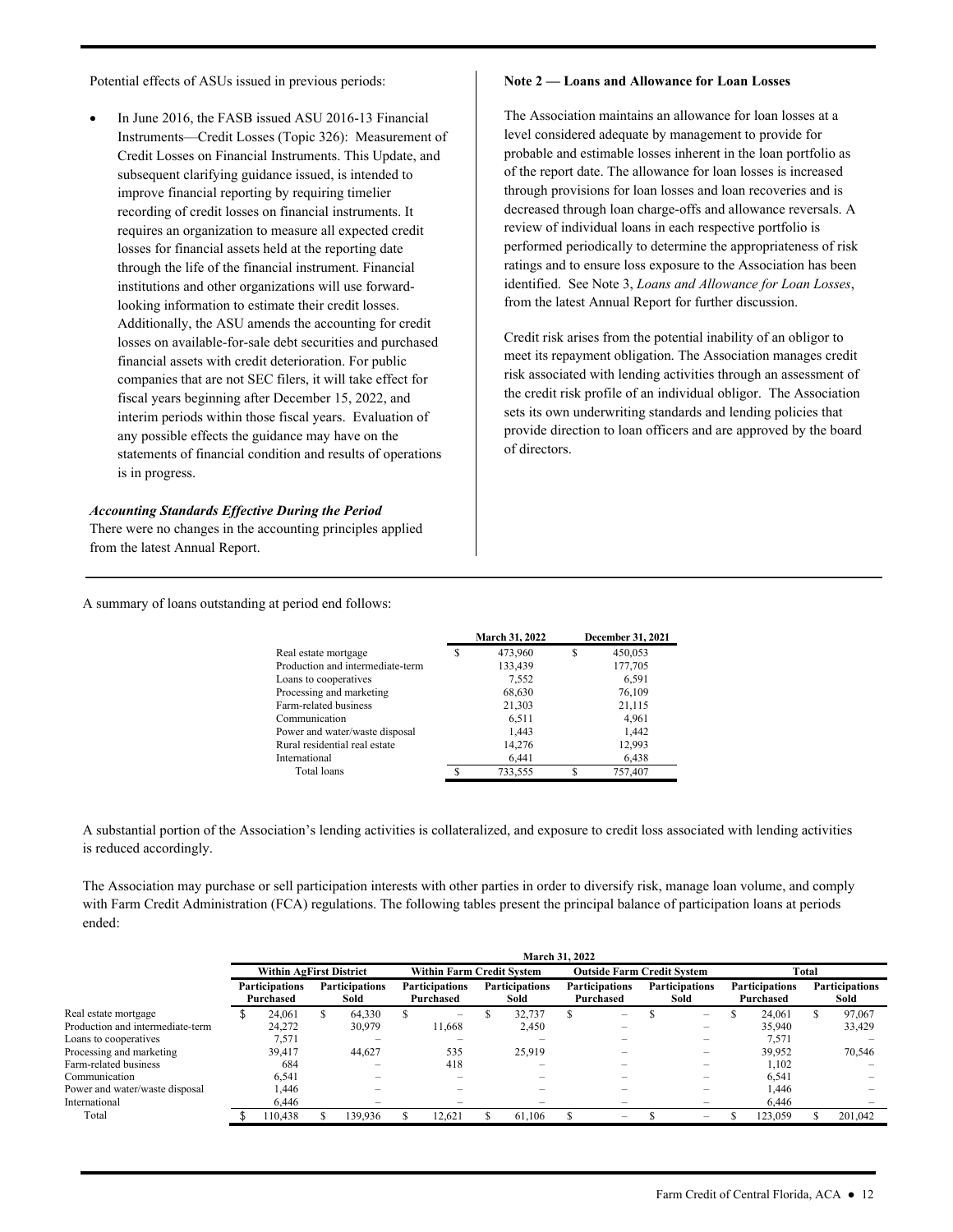Potential effects of ASUs issued in previous periods:

 interim periods within those fiscal years. Evaluation of In June 2016, the FASB issued ASU 2016-13 Financial Instruments—Credit Losses (Topic 326): Measurement of Credit Losses on Financial Instruments. This Update, and subsequent clarifying guidance issued, is intended to improve financial reporting by requiring timelier recording of credit losses on financial instruments. It requires an organization to measure all expected credit losses for financial assets held at the reporting date through the life of the financial instrument. Financial institutions and other organizations will use forwardlooking information to estimate their credit losses. Additionally, the ASU amends the accounting for credit losses on available-for-sale debt securities and purchased financial assets with credit deterioration. For public companies that are not SEC filers, it will take effect for fiscal years beginning after December 15, 2022, and any possible effects the guidance may have on the statements of financial condition and results of operations is in progress.

#### *Accounting Standards Effective During the Period*

There were no changes in the accounting principles applied from the latest Annual Report.

#### **Note 2 — Loans and Allowance for Loan Losses**

 identified. See Note 3, *Loans and Allowance for Loan Losses*, The Association maintains an allowance for loan losses at a level considered adequate by management to provide for probable and estimable losses inherent in the loan portfolio as of the report date. The allowance for loan losses is increased through provisions for loan losses and loan recoveries and is decreased through loan charge-offs and allowance reversals. A review of individual loans in each respective portfolio is performed periodically to determine the appropriateness of risk ratings and to ensure loss exposure to the Association has been from the latest Annual Report for further discussion.

Credit risk arises from the potential inability of an obligor to meet its repayment obligation. The Association manages credit risk associated with lending activities through an assessment of the credit risk profile of an individual obligor. The Association sets its own underwriting standards and lending policies that provide direction to loan officers and are approved by the board of directors.

A summary of loans outstanding at period end follows:

| <b>March 31, 2022</b> |   | December 31, 2021 |
|-----------------------|---|-------------------|
| 473,960               | S | 450,053           |
| 133,439               |   | 177,705           |
| 7.552                 |   | 6.591             |
| 68,630                |   | 76,109            |
| 21,303                |   | 21,115            |
| 6,511                 |   | 4,961             |
| 1,443                 |   | 1.442             |
| 14.276                |   | 12.993            |
| 6.441                 |   | 6,438             |
| 733.555               | S | 757,407           |
|                       |   |                   |

A substantial portion of the Association's lending activities is collateralized, and exposure to credit loss associated with lending activities is reduced accordingly.

The Association may purchase or sell participation interests with other parties in order to diversify risk, manage loan volume, and comply with Farm Credit Administration (FCA) regulations. The following tables present the principal balance of participation loans at periods ended:

|                                  | March 31, 2022                     |  |                               |  |                                    |    |                               |  |                                    |  |                               |  |                                    |       |                               |
|----------------------------------|------------------------------------|--|-------------------------------|--|------------------------------------|----|-------------------------------|--|------------------------------------|--|-------------------------------|--|------------------------------------|-------|-------------------------------|
|                                  | <b>Within AgFirst District</b>     |  |                               |  | <b>Within Farm Credit System</b>   |    |                               |  | <b>Outside Farm Credit System</b>  |  |                               |  |                                    | Total |                               |
|                                  | <b>Participations</b><br>Purchased |  | <b>Participations</b><br>Sold |  | <b>Participations</b><br>Purchased |    | <b>Participations</b><br>Sold |  | <b>Participations</b><br>Purchased |  | <b>Participations</b><br>Sold |  | <b>Participations</b><br>Purchased |       | <b>Participations</b><br>Sold |
| Real estate mortgage             | 24,061                             |  | 64,330                        |  | -                                  | ה. | 32,737                        |  | -                                  |  | $-$                           |  | 24,061                             | S     | 97,067                        |
| Production and intermediate-term | 24.272                             |  | 30,979                        |  | 11,668                             |    | 2,450                         |  |                                    |  | $\overline{\phantom{0}}$      |  | 35,940                             |       | 33,429                        |
| Loans to cooperatives            | 7,571                              |  | -                             |  |                                    |    | -                             |  |                                    |  | -                             |  | 7.571                              |       |                               |
| Processing and marketing         | 39.417                             |  | 44.627                        |  | 535                                |    | 25.919                        |  |                                    |  | -                             |  | 39.952                             |       | 70.546                        |
| Farm-related business            | 684                                |  |                               |  | 418                                |    |                               |  |                                    |  |                               |  | 1.102                              |       |                               |
| Communication                    | 6.541                              |  |                               |  |                                    |    |                               |  |                                    |  | -                             |  | 6.541                              |       |                               |
| Power and water/waste disposal   | 1.446                              |  | $\overline{\phantom{0}}$      |  |                                    |    |                               |  | -                                  |  | $\overline{\phantom{0}}$      |  | 1.446                              |       | -                             |
| International                    | 6.446                              |  | $\overline{\phantom{0}}$      |  | -                                  |    | $-$                           |  |                                    |  | -                             |  | 6.446                              |       |                               |
| Total                            | 10.438                             |  | 139.936                       |  | 12.621                             |    | 61,106                        |  | $-$                                |  | $\overline{\phantom{0}}$      |  | 123,059                            |       | 201.042                       |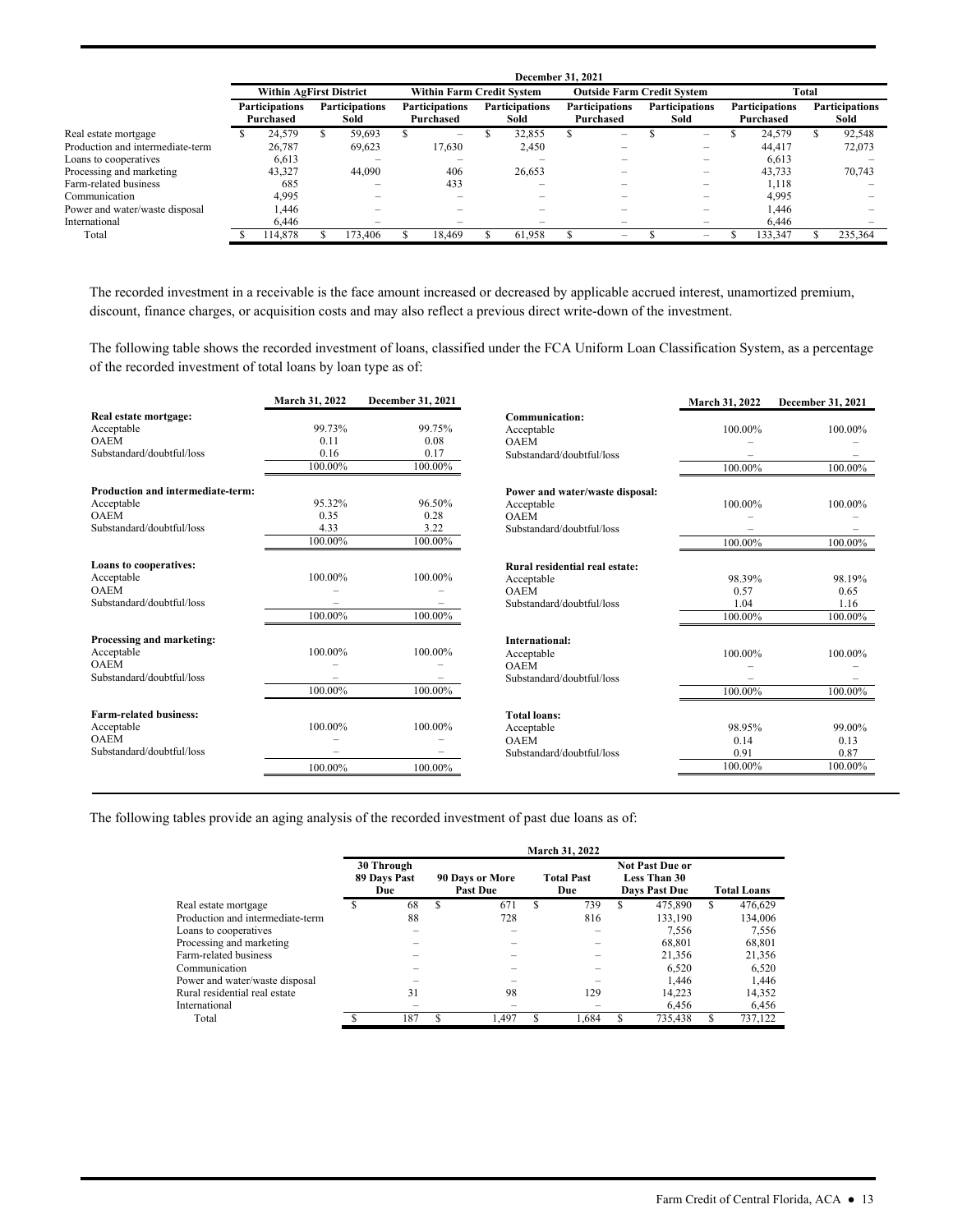|                                  | December 31, 2021                                                  |                                    |   |                               |  |                                    |  |                               |  |                                    |  |                               |       |                                    |  |                               |
|----------------------------------|--------------------------------------------------------------------|------------------------------------|---|-------------------------------|--|------------------------------------|--|-------------------------------|--|------------------------------------|--|-------------------------------|-------|------------------------------------|--|-------------------------------|
|                                  | <b>Within AgFirst District</b><br><b>Within Farm Credit System</b> |                                    |   |                               |  |                                    |  |                               |  | <b>Outside Farm Credit System</b>  |  |                               | Total |                                    |  |                               |
|                                  |                                                                    | <b>Participations</b><br>Purchased |   | <b>Participations</b><br>Sold |  | <b>Participations</b><br>Purchased |  | <b>Participations</b><br>Sold |  | <b>Participations</b><br>Purchased |  | <b>Participations</b><br>Sold |       | <b>Participations</b><br>Purchased |  | <b>Participations</b><br>Sold |
| Real estate mortgage             |                                                                    | 24,579                             | э | 59.693                        |  | -                                  |  | 32,855                        |  | -                                  |  | $\overline{\phantom{a}}$      |       | 24.579                             |  | 92,548                        |
| Production and intermediate-term |                                                                    | 26.787                             |   | 69,623                        |  | 17,630                             |  | 2,450                         |  |                                    |  |                               |       | 44,417                             |  | 72,073                        |
| Loans to cooperatives            |                                                                    | 6,613                              |   |                               |  |                                    |  |                               |  |                                    |  | $\overline{\phantom{0}}$      |       | 6,613                              |  |                               |
| Processing and marketing         |                                                                    | 43.327                             |   | 44,090                        |  | 406                                |  | 26.653                        |  | -                                  |  | $\overline{\phantom{0}}$      |       | 43.733                             |  | 70.743                        |
| Farm-related business            |                                                                    | 685                                |   |                               |  | 433                                |  | -                             |  |                                    |  | $\overline{\phantom{m}}$      |       | 1.118                              |  |                               |
| Communication                    |                                                                    | 4,995                              |   |                               |  |                                    |  |                               |  |                                    |  |                               |       | 4,995                              |  |                               |
| Power and water/waste disposal   |                                                                    | 1.446                              |   |                               |  |                                    |  |                               |  |                                    |  | $\overline{\phantom{0}}$      |       | 1.446                              |  |                               |
| International                    |                                                                    | 6.446                              |   | $\overline{\phantom{0}}$      |  | -                                  |  | -                             |  | -                                  |  | $\overline{\phantom{a}}$      |       | 6.446                              |  | $\overline{\phantom{0}}$      |
| Total                            |                                                                    | 14.878                             |   | 173.406                       |  | 18.469                             |  | 61.958                        |  | -                                  |  | -                             |       | 133,347                            |  | 235.364                       |

The recorded investment in a receivable is the face amount increased or decreased by applicable accrued interest, unamortized premium, discount, finance charges, or acquisition costs and may also reflect a previous direct write-down of the investment.

 of the recorded investment of total loans by loan type as of: The following table shows the recorded investment of loans, classified under the FCA Uniform Loan Classification System, as a percentage

|                                   | March 31, 2022 | December 31, 2021 |                                 | March 31, 2022 | December 31, 2021 |
|-----------------------------------|----------------|-------------------|---------------------------------|----------------|-------------------|
| Real estate mortgage:             |                |                   | Communication:                  |                |                   |
| Acceptable                        | 99.73%         | 99.75%            | Acceptable                      | 100.00%        | 100.00%           |
| <b>OAEM</b>                       | 0.11           | 0.08              | <b>OAEM</b>                     |                |                   |
| Substandard/doubtful/loss         | 0.16           | 0.17              | Substandard/doubtful/loss       |                |                   |
|                                   | 100.00%        | 100.00%           |                                 | 100.00%        | 100.00%           |
| Production and intermediate-term: |                |                   | Power and water/waste disposal: |                |                   |
| Acceptable                        | 95.32%         | 96.50%            | Acceptable                      | 100.00%        | 100.00%           |
| <b>OAEM</b>                       | 0.35           | 0.28              | <b>OAEM</b>                     |                |                   |
| Substandard/doubtful/loss         | 4.33           | 3.22              | Substandard/doubtful/loss       |                |                   |
|                                   | 100.00%        | 100.00%           |                                 | 100.00%        | 100.00%           |
| Loans to cooperatives:            |                |                   | Rural residential real estate:  |                |                   |
| Acceptable                        | 100.00%        | 100.00%           | Acceptable                      | 98.39%         | 98.19%            |
| <b>OAEM</b>                       |                |                   | <b>OAEM</b>                     | 0.57           | 0.65              |
| Substandard/doubtful/loss         |                | -                 | Substandard/doubtful/loss       | 1.04           | 1.16              |
|                                   | 100.00%        | 100.00%           |                                 | 100.00%        | 100.00%           |
| Processing and marketing:         |                |                   | International:                  |                |                   |
| Acceptable                        | 100.00%        | 100.00%           | Acceptable                      | 100.00%        | 100.00%           |
| <b>OAEM</b>                       |                |                   | <b>OAEM</b>                     |                |                   |
| Substandard/doubtful/loss         |                |                   | Substandard/doubtful/loss       |                |                   |
|                                   | 100.00%        | 100.00%           |                                 | 100.00%        | 100.00%           |
| <b>Farm-related business:</b>     |                |                   | <b>Total loans:</b>             |                |                   |
| Acceptable                        | 100.00%        | 100.00%           | Acceptable                      | 98.95%         | 99.00%            |
| <b>OAEM</b>                       |                |                   | <b>OAEM</b>                     | 0.14           | 0.13              |
| Substandard/doubtful/loss         |                |                   | Substandard/doubtful/loss       | 0.91           | 0.87              |
|                                   | 100.00%        | 100.00%           |                                 | 100.00%        | 100.00%           |

The following tables provide an aging analysis of the recorded investment of past due loans as of:

|                                  | March 31, 2022                    |     |   |                                    |   |                          |     |                                                         |                    |         |  |  |  |
|----------------------------------|-----------------------------------|-----|---|------------------------------------|---|--------------------------|-----|---------------------------------------------------------|--------------------|---------|--|--|--|
|                                  | 30 Through<br>89 Days Past<br>Due |     |   | 90 Days or More<br><b>Past Due</b> |   | <b>Total Past</b><br>Due |     | <b>Not Past Due or</b><br>Less Than 30<br>Days Past Due | <b>Total Loans</b> |         |  |  |  |
| Real estate mortgage             |                                   | 68  | S | 671                                | S | 739                      | \$. | 475,890                                                 | \$                 | 476.629 |  |  |  |
| Production and intermediate-term |                                   | 88  |   | 728                                |   | 816                      |     | 133,190                                                 |                    | 134,006 |  |  |  |
| Loans to cooperatives            |                                   |     |   |                                    |   |                          |     | 7.556                                                   |                    | 7,556   |  |  |  |
| Processing and marketing         |                                   |     |   |                                    |   |                          |     | 68.801                                                  |                    | 68.801  |  |  |  |
| Farm-related business            |                                   |     |   |                                    |   |                          |     | 21,356                                                  |                    | 21,356  |  |  |  |
| Communication                    |                                   |     |   |                                    |   |                          |     | 6.520                                                   |                    | 6.520   |  |  |  |
| Power and water/waste disposal   |                                   |     |   |                                    |   |                          |     | 1.446                                                   |                    | 1.446   |  |  |  |
| Rural residential real estate    |                                   | 31  |   | 98                                 |   | 129                      |     | 14.223                                                  |                    | 14,352  |  |  |  |
| International                    |                                   |     |   |                                    |   |                          |     | 6.456                                                   |                    | 6,456   |  |  |  |
| Total                            |                                   | 187 | S | 1.497                              |   | 1.684                    |     | 735,438                                                 | S                  | 737,122 |  |  |  |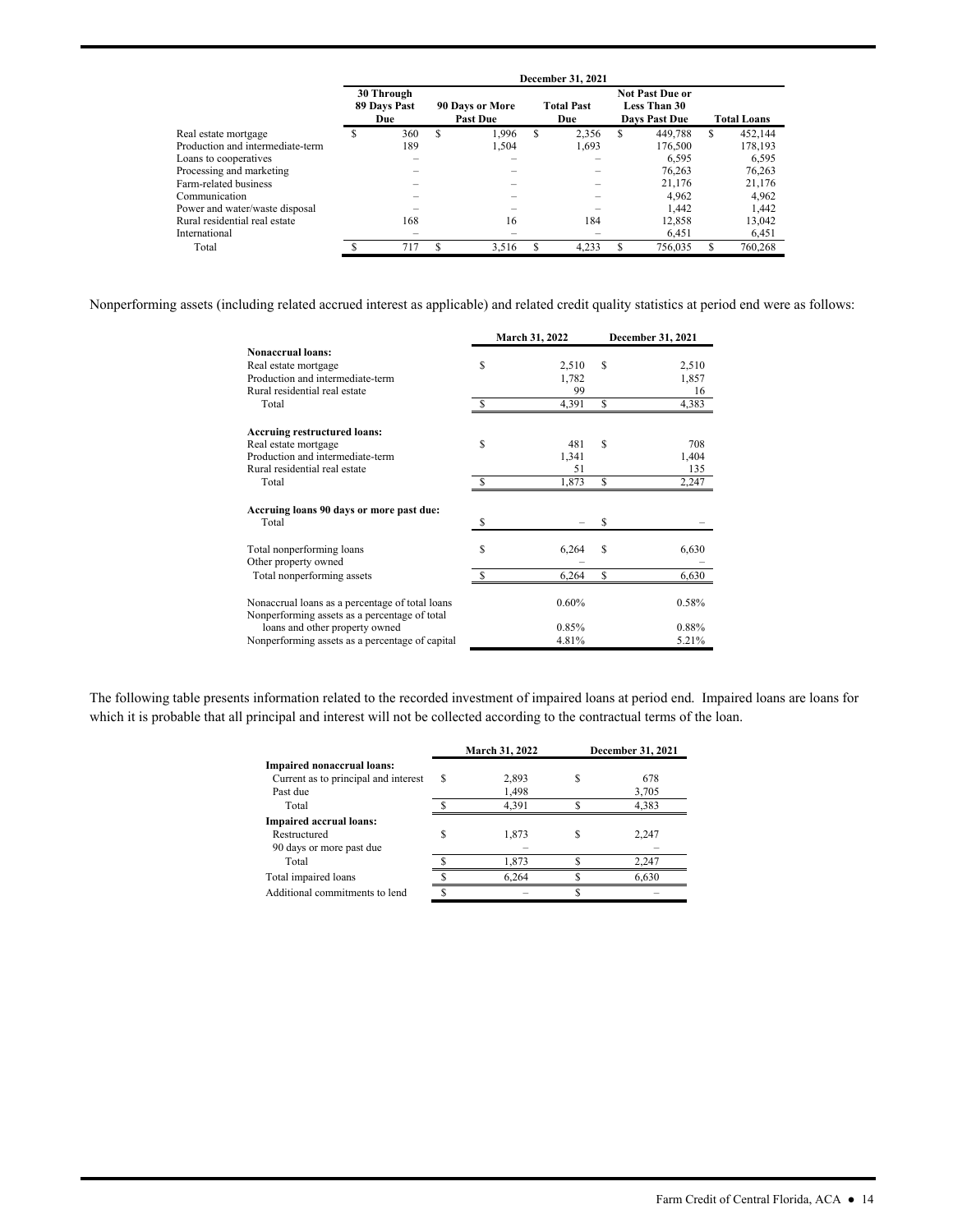|                                  |                                   |                                           |   | <b>December 31, 2021</b> |   |                                                                       |   |                    |
|----------------------------------|-----------------------------------|-------------------------------------------|---|--------------------------|---|-----------------------------------------------------------------------|---|--------------------|
|                                  | 30 Through<br>89 Days Past<br>Due | <b>90 Days or More</b><br><b>Past Due</b> |   | <b>Total Past</b><br>Due |   | <b>Not Past Due or</b><br><b>Less Than 30</b><br><b>Days Past Due</b> |   | <b>Total Loans</b> |
| Real estate mortgage             | 360                               | \$<br>1.996                               | S | 2.356                    | S | 449,788                                                               | S | 452.144            |
| Production and intermediate-term | 189                               | 1.504                                     |   | 1.693                    |   | 176,500                                                               |   | 178.193            |
| Loans to cooperatives            |                                   |                                           |   |                          |   | 6.595                                                                 |   | 6,595              |
| Processing and marketing         |                                   |                                           |   |                          |   | 76.263                                                                |   | 76.263             |
| Farm-related business            |                                   |                                           |   |                          |   | 21,176                                                                |   | 21,176             |
| Communication                    |                                   |                                           |   |                          |   | 4.962                                                                 |   | 4.962              |
| Power and water/waste disposal   |                                   |                                           |   |                          |   | 1.442                                                                 |   | 1,442              |
| Rural residential real estate    | 168                               | 16                                        |   | 184                      |   | 12,858                                                                |   | 13,042             |
| International                    |                                   |                                           |   |                          |   | 6.451                                                                 |   | 6.451              |
| Total                            | 717                               | 3,516                                     |   | 4,233                    |   | 756,035                                                               |   | 760,268            |

Nonperforming assets (including related accrued interest as applicable) and related credit quality statistics at period end were as follows:

|                                                                                                  |   | March 31, 2022 |    | December 31, 2021 |
|--------------------------------------------------------------------------------------------------|---|----------------|----|-------------------|
| <b>Nonaccrual loans:</b>                                                                         |   |                |    |                   |
| Real estate mortgage                                                                             | S | 2,510          | S  | 2,510             |
| Production and intermediate-term                                                                 |   | 1,782          |    | 1,857             |
| Rural residential real estate                                                                    |   | 99             |    | 16                |
| Total                                                                                            |   | 4,391          | \$ | 4,383             |
| <b>Accruing restructured loans:</b>                                                              |   |                |    |                   |
| Real estate mortgage                                                                             | S | 481            | S  | 708               |
| Production and intermediate-term                                                                 |   | 1,341          |    | 1,404             |
| Rural residential real estate                                                                    |   | 51             |    | 135               |
| Total                                                                                            |   | 1,873          | S  | 2,247             |
| Accruing loans 90 days or more past due:                                                         |   |                |    |                   |
| Total                                                                                            | S |                | S  |                   |
| Total nonperforming loans<br>Other property owned                                                | S | 6,264          | S  | 6,630             |
| Total nonperforming assets                                                                       |   | 6,264          | S  | 6,630             |
| Nonaccrual loans as a percentage of total loans<br>Nonperforming assets as a percentage of total |   | 0.60%          |    | 0.58%             |
| loans and other property owned                                                                   |   | 0.85%          |    | 0.88%             |
| Nonperforming assets as a percentage of capital                                                  |   | 4.81%          |    | 5.21%             |

The following table presents information related to the recorded investment of impaired loans at period end. Impaired loans are loans for which it is probable that all principal and interest will not be collected according to the contractual terms of the loan.

|                                      |   | March 31, 2022 | <b>December 31, 2021</b> |
|--------------------------------------|---|----------------|--------------------------|
| Impaired nonaccrual loans:           |   |                |                          |
| Current as to principal and interest | ς | 2,893          | 678                      |
| Past due                             |   | 1,498          | 3,705                    |
| Total                                |   | 4,391          | 4,383                    |
| <b>Impaired accrual loans:</b>       |   |                |                          |
| Restructured                         |   | 1,873          | 2,247                    |
| 90 days or more past due             |   |                |                          |
| Total                                |   | 1,873          | 2,247                    |
| Total impaired loans                 |   | 6,264          | 6,630                    |
| Additional commitments to lend       |   |                |                          |
|                                      |   |                |                          |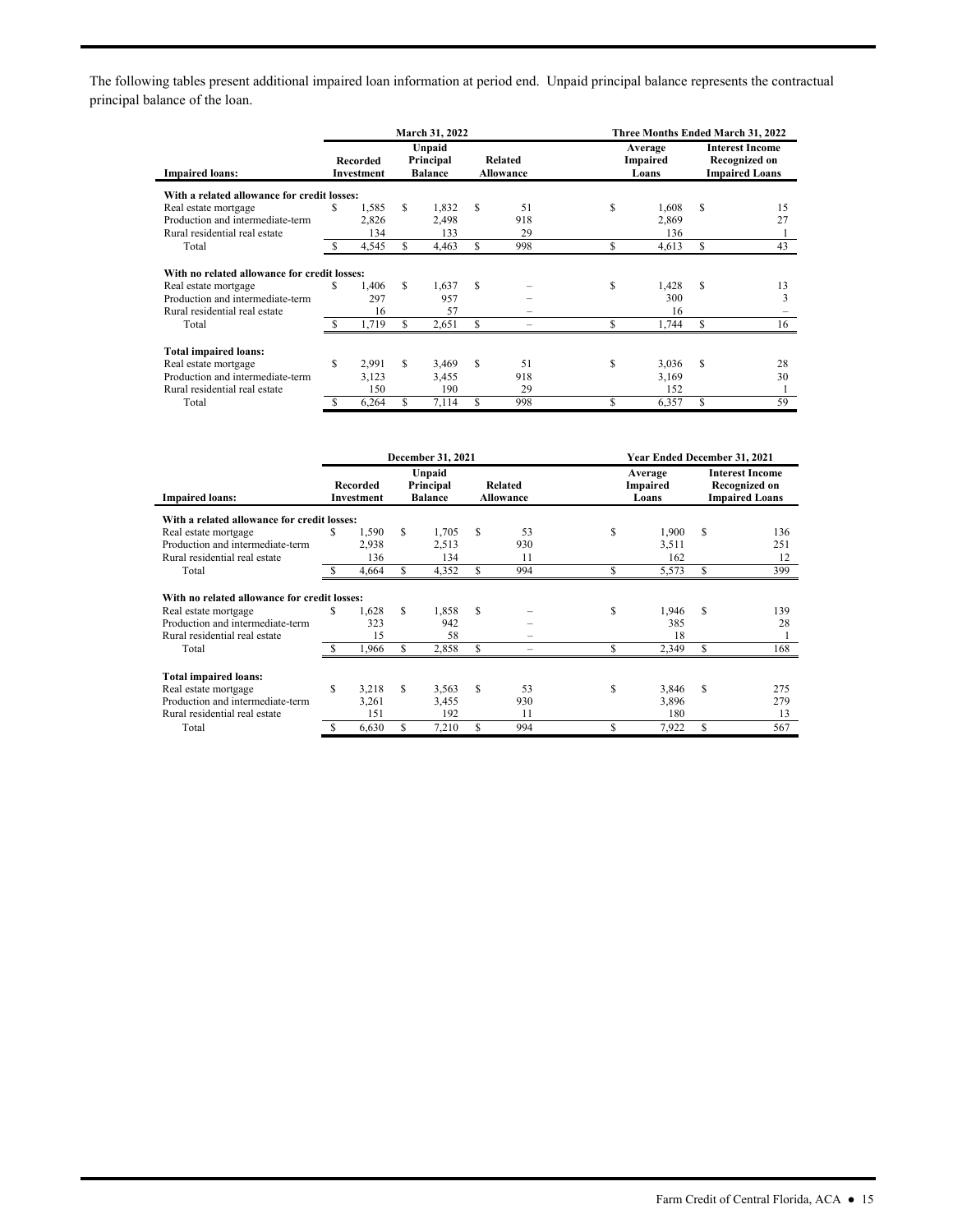The following tables present additional impaired loan information at period end. Unpaid principal balance represents the contractual principal balance of the loan.

|                                              |    |                        |     | March 31, 2022                        |                                    |     | Three Months Ended March 31, 2022 |                              |                                                                  |    |  |  |
|----------------------------------------------|----|------------------------|-----|---------------------------------------|------------------------------------|-----|-----------------------------------|------------------------------|------------------------------------------------------------------|----|--|--|
| <b>Impaired loans:</b>                       |    | Recorded<br>Investment |     | Unpaid<br>Principal<br><b>Balance</b> | <b>Related</b><br><b>Allowance</b> |     |                                   | Average<br>Impaired<br>Loans | <b>Interest Income</b><br>Recognized on<br><b>Impaired Loans</b> |    |  |  |
| With a related allowance for credit losses:  |    |                        |     |                                       |                                    |     |                                   |                              |                                                                  |    |  |  |
| Real estate mortgage                         | \$ | 1.585                  | \$  | 1.832                                 | S                                  | 51  | S                                 | 1.608                        | S                                                                | 15 |  |  |
| Production and intermediate-term             |    | 2,826                  |     | 2,498                                 |                                    | 918 |                                   | 2,869                        |                                                                  | 27 |  |  |
| Rural residential real estate                |    | 134                    |     | 133                                   |                                    | 29  |                                   | 136                          |                                                                  |    |  |  |
| Total                                        | S  | 4,545                  | \$  | 4.463                                 | S                                  | 998 | S                                 | 4,613                        | S                                                                | 43 |  |  |
| With no related allowance for credit losses: |    |                        |     |                                       |                                    |     |                                   |                              |                                                                  |    |  |  |
| Real estate mortgage                         | \$ | 1.406                  | \$. | 1,637                                 | S                                  |     | S                                 | 1,428                        | S                                                                | 13 |  |  |
| Production and intermediate-term             |    | 297                    |     | 957                                   |                                    |     |                                   | 300                          |                                                                  | 3  |  |  |
| Rural residential real estate                |    | 16                     |     | 57                                    |                                    |     |                                   | 16                           |                                                                  |    |  |  |
| Total                                        |    | 1,719                  | S.  | 2,651                                 | S                                  |     | S                                 | 1,744                        | S                                                                | 16 |  |  |
| <b>Total impaired loans:</b>                 |    |                        |     |                                       |                                    |     |                                   |                              |                                                                  |    |  |  |
| Real estate mortgage                         | \$ | 2.991                  | \$. | 3.469                                 | S                                  | 51  | S                                 | 3,036                        | S                                                                | 28 |  |  |
| Production and intermediate-term             |    | 3.123                  |     | 3.455                                 |                                    | 918 |                                   | 3.169                        |                                                                  | 30 |  |  |
| Rural residential real estate                |    | 150                    |     | 190                                   |                                    | 29  |                                   | 152                          |                                                                  |    |  |  |
| Total                                        | S  | 6,264                  | S   | 7,114                                 | S                                  | 998 | S                                 | 6,357                        | S                                                                | 59 |  |  |

|                                              |          |                        |                                       | December 31, 2021 |                                    |     | <b>Year Ended December 31, 2021</b> |       |                                                                  |     |  |  |
|----------------------------------------------|----------|------------------------|---------------------------------------|-------------------|------------------------------------|-----|-------------------------------------|-------|------------------------------------------------------------------|-----|--|--|
| <b>Impaired loans:</b>                       |          | Recorded<br>Investment | Unpaid<br>Principal<br><b>Balance</b> |                   | <b>Related</b><br><b>Allowance</b> |     | Average<br>Impaired<br>Loans        |       | <b>Interest Income</b><br>Recognized on<br><b>Impaired Loans</b> |     |  |  |
| With a related allowance for credit losses:  |          |                        |                                       |                   |                                    |     |                                     |       |                                                                  |     |  |  |
| Real estate mortgage                         | \$       | 1,590                  | S                                     | 1,705             | S                                  | 53  | S                                   | 1,900 | S                                                                | 136 |  |  |
| Production and intermediate-term             |          | 2,938                  |                                       | 2,513             |                                    | 930 |                                     | 3,511 |                                                                  | 251 |  |  |
| Rural residential real estate                |          | 136                    |                                       | 134               |                                    | 11  |                                     | 162   |                                                                  | 12  |  |  |
| Total                                        | <b>S</b> | 4,664                  | S                                     | 4,352             | S.                                 | 994 | Ś                                   | 5,573 | S                                                                | 399 |  |  |
| With no related allowance for credit losses: |          |                        |                                       |                   |                                    |     |                                     |       |                                                                  |     |  |  |
| Real estate mortgage                         | S        | 1.628                  | S                                     | 1,858             | S                                  |     | S                                   | 1.946 | S                                                                | 139 |  |  |
| Production and intermediate-term             |          | 323                    |                                       | 942               |                                    |     |                                     | 385   |                                                                  | 28  |  |  |
| Rural residential real estate                |          | 15                     |                                       | 58                |                                    |     |                                     | 18    |                                                                  |     |  |  |
| Total                                        |          | 1,966                  | S                                     | 2,858             | S                                  |     |                                     | 2,349 |                                                                  | 168 |  |  |
| <b>Total impaired loans:</b>                 |          |                        |                                       |                   |                                    |     |                                     |       |                                                                  |     |  |  |
| Real estate mortgage                         | \$.      | 3.218                  | S.                                    | 3.563             | S                                  | 53  | S                                   | 3,846 | S                                                                | 275 |  |  |
| Production and intermediate-term             |          | 3,261                  |                                       | 3,455             |                                    | 930 |                                     | 3,896 |                                                                  | 279 |  |  |
| Rural residential real estate                |          | 151                    |                                       | 192               |                                    | 11  |                                     | 180   |                                                                  | 13  |  |  |
| Total                                        |          | 6,630                  | S                                     | 7,210             | \$                                 | 994 | \$                                  | 7,922 | S                                                                | 567 |  |  |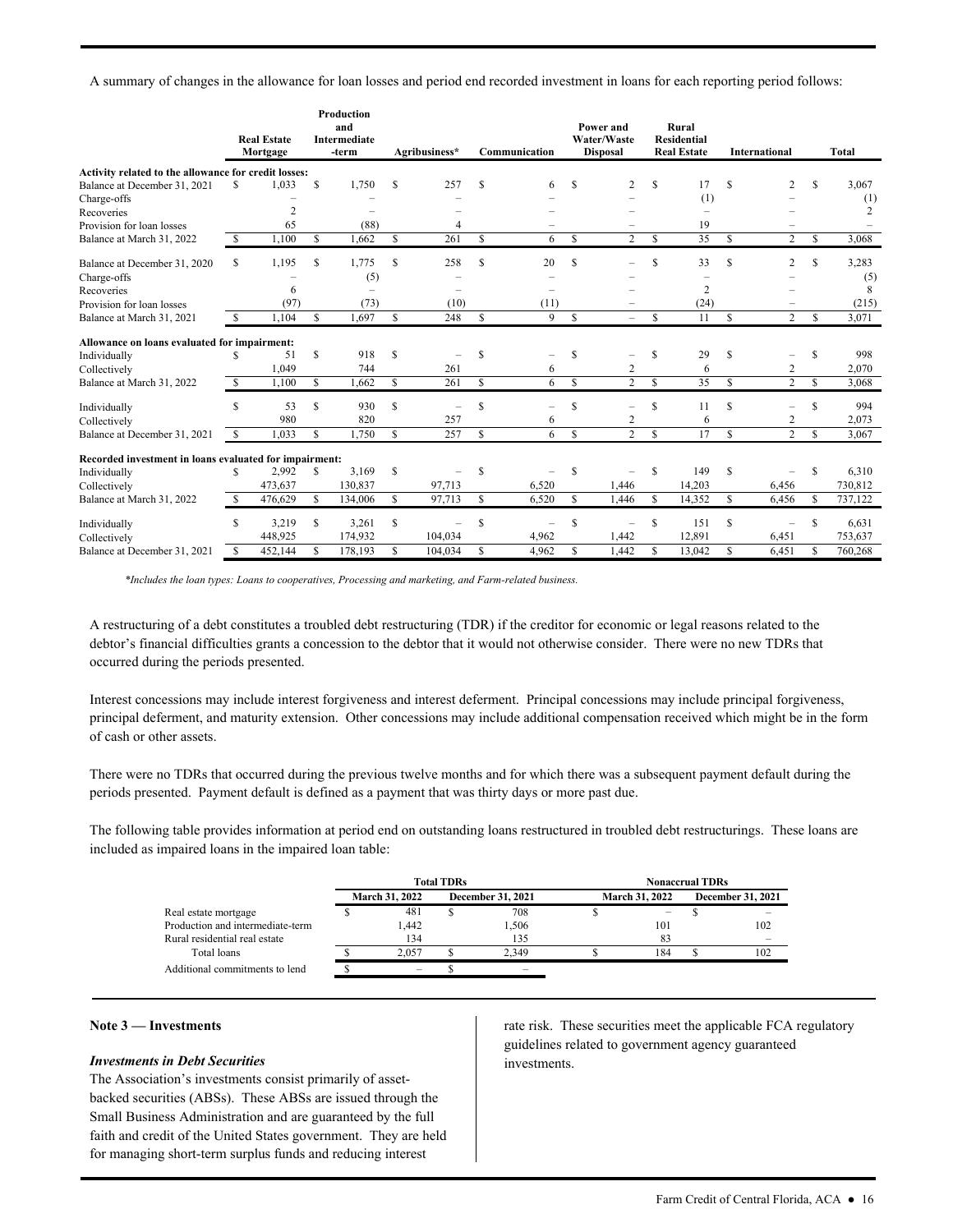A summary of changes in the allowance for loan losses and period end recorded investment in loans for each reporting period follows:

|                                                        |     | <b>Real Estate</b><br>Mortgage |              | <b>Production</b><br>and<br><b>Intermediate</b><br>-term |               | Agribusiness*            |               | Communication |               | Power and<br>Water/Waste<br><b>Disposal</b> |               | Rural<br><b>Residential</b><br><b>Real Estate</b> |    | International            |    | Total   |
|--------------------------------------------------------|-----|--------------------------------|--------------|----------------------------------------------------------|---------------|--------------------------|---------------|---------------|---------------|---------------------------------------------|---------------|---------------------------------------------------|----|--------------------------|----|---------|
| Activity related to the allowance for credit losses:   |     |                                |              |                                                          |               |                          |               |               |               |                                             |               |                                                   |    |                          |    |         |
| Balance at December 31, 2021                           | S   | 1.033                          | S            | 1,750                                                    | S             | 257                      | \$            | 6             | S             | 2                                           | S             | 17                                                | S  | 2                        | S  | 3,067   |
| Charge-offs                                            |     |                                |              |                                                          |               |                          |               |               |               |                                             |               | (1)                                               |    |                          |    | (1)     |
| Recoveries                                             |     | 2                              |              |                                                          |               |                          |               |               |               |                                             |               | $\qquad \qquad -$                                 |    |                          |    | 2       |
| Provision for loan losses                              |     | 65                             |              | (88)                                                     |               | 4                        |               |               |               | -                                           |               | 19                                                |    |                          |    |         |
| Balance at March 31, 2022                              | \$  | 1.100                          | \$.          | 1,662                                                    | S             | 261                      | S             | 6             | S             | $\overline{2}$                              | \$.           | 35                                                | S  | $\overline{c}$           | S  | 3.068   |
| Balance at December 31, 2020                           | S   | 1,195                          | S            | 1,775                                                    | S             | 258                      | \$            | 20            | S             |                                             | S             | 33                                                | S  | 2                        | S  | 3,283   |
| Charge-offs                                            |     |                                |              | (5)                                                      |               |                          |               |               |               |                                             |               | -                                                 |    |                          |    | (5)     |
| Recoveries                                             |     | 6                              |              |                                                          |               |                          |               |               |               |                                             |               | 2                                                 |    |                          |    | 8       |
| Provision for loan losses                              |     | (97)                           |              | (73)                                                     |               | (10)                     |               | (11)          |               |                                             |               | (24)                                              |    |                          |    | (215)   |
| Balance at March 31, 2021                              | S   | 1.104                          | $\mathbb{S}$ | 1.697                                                    | <sup>\$</sup> | 248                      | <sup>\$</sup> | 9             | S             | $\overline{\phantom{0}}$                    | \$            | 11                                                | S  | $\overline{2}$           | S  | 3,071   |
| Allowance on loans evaluated for impairment:           |     |                                |              |                                                          |               |                          |               |               |               |                                             |               |                                                   |    |                          |    |         |
| Individually                                           | S   | 51                             | \$           | 918                                                      | S             | $\overline{\phantom{0}}$ | \$            |               | S             | -                                           | \$            | 29                                                | S  | -                        | \$ | 998     |
| Collectively                                           |     | 1,049                          |              | 744                                                      |               | 261                      |               | 6             |               | 2                                           |               | 6                                                 |    | 2                        |    | 2,070   |
| Balance at March 31, 2022                              | S   | 1,100                          | \$           | 1,662                                                    | S             | 261                      | <sup>\$</sup> | 6             | S             | $\overline{2}$                              | <sup>\$</sup> | 35                                                | S  | 2                        | S  | 3.068   |
| Individually                                           | \$  | 53                             | \$           | 930                                                      | S             | $\overline{\phantom{0}}$ | \$            |               | \$            | $\overline{\phantom{0}}$                    | \$            | 11                                                | \$ | $\overline{\phantom{0}}$ | \$ | 994     |
| Collectively                                           |     | 980                            |              | 820                                                      |               | 257                      |               | 6             |               | 2                                           |               | 6                                                 |    | 2                        |    | 2,073   |
| Balance at December 31, 2021                           | -S  | 1,033                          | S            | 1,750                                                    | \$            | 257                      | \$            | 6             | \$            | $\overline{2}$                              | <b>S</b>      | 17                                                | \$ | $\overline{2}$           | S  | 3,067   |
| Recorded investment in loans evaluated for impairment: |     |                                |              |                                                          |               |                          |               |               |               |                                             |               |                                                   |    |                          |    |         |
| Individually                                           | S   | 2,992                          | S            | 3.169                                                    | S             |                          | <sup>\$</sup> |               | S             |                                             | S             | 149                                               | S  |                          | S  | 6,310   |
| Collectively                                           |     | 473,637                        |              | 130,837                                                  |               | 97,713                   |               | 6,520         |               | 1,446                                       |               | 14,203                                            |    | 6,456                    |    | 730,812 |
| Balance at March 31, 2022                              | \$. | 476,629                        | S            | 134,006                                                  | S             | 97,713                   | S             | 6,520         | $\mathcal{S}$ | 1,446                                       | S             | 14,352                                            | S  | 6,456                    | S  | 737,122 |
| Individually                                           | S   | 3,219                          | S            | 3,261                                                    | S             | -                        | <sup>\$</sup> |               | S             | -                                           | S             | 151                                               | S  | -                        | S  | 6,631   |
| Collectively                                           |     | 448,925                        |              | 174,932                                                  |               | 104,034                  |               | 4,962         |               | 1,442                                       |               | 12,891                                            |    | 6,451                    |    | 753,637 |
| Balance at December 31, 2021                           | \$  | 452,144                        | \$           | 178,193                                                  | \$            | 104,034                  | \$            | 4,962         | \$            | 1,442                                       | S             | 13,042                                            | \$ | 6,451                    | \$ | 760,268 |

*\*Includes the loan types: Loans to cooperatives, Processing and marketing, and Farm-related business.* 

A restructuring of a debt constitutes a troubled debt restructuring (TDR) if the creditor for economic or legal reasons related to the debtor's financial difficulties grants a concession to the debtor that it would not otherwise consider. There were no new TDRs that occurred during the periods presented.

 Interest concessions may include interest forgiveness and interest deferment. Principal concessions may include principal forgiveness, principal deferment, and maturity extension. Other concessions may include additional compensation received which might be in the form of cash or other assets.

There were no TDRs that occurred during the previous twelve months and for which there was a subsequent payment default during the periods presented. Payment default is defined as a payment that was thirty days or more past due.

 included as impaired loans in the impaired loan table: The following table provides information at period end on outstanding loans restructured in troubled debt restructurings. These loans are

|                                  |                       | <b>Total TDRs</b> |                          | <b>Nonaccrual TDRs</b> |     |  |                          |  |  |  |
|----------------------------------|-----------------------|-------------------|--------------------------|------------------------|-----|--|--------------------------|--|--|--|
|                                  | <b>March 31, 2022</b> |                   | <b>December 31, 2021</b> | <b>March 31, 2022</b>  |     |  | <b>December 31, 2021</b> |  |  |  |
| Real estate mortgage             | 481                   |                   | 708                      |                        | -   |  |                          |  |  |  |
| Production and intermediate-term | .442                  |                   | 1.506                    |                        | 101 |  | 102                      |  |  |  |
| Rural residential real estate    | 134                   |                   | 135                      |                        | 83  |  |                          |  |  |  |
| Total loans                      | 2.057                 |                   | 2.349                    |                        | 184 |  | 102                      |  |  |  |
| Additional commitments to lend   |                       |                   | $\overline{\phantom{a}}$ |                        |     |  |                          |  |  |  |

### **Note 3 — Investments**

#### *Investments in Debt Securities*

The Association's investments consist primarily of assetbacked securities (ABSs). These ABSs are issued through the Small Business Administration and are guaranteed by the full faith and credit of the United States government. They are held for managing short-term surplus funds and reducing interest

 rate risk. These securities meet the applicable FCA regulatory guidelines related to government agency guaranteed investments.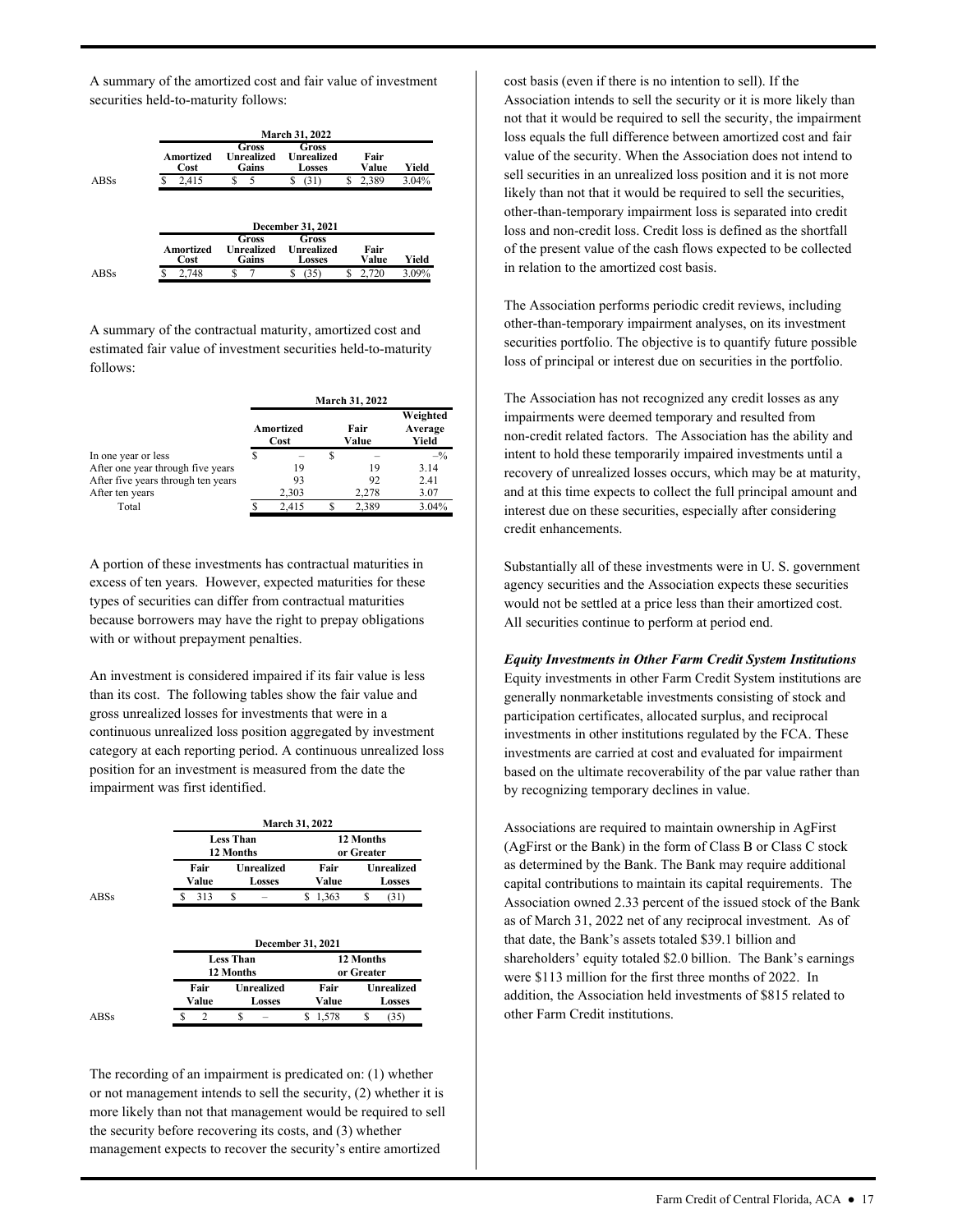A summary of the amortized cost and fair value of investment securities held-to-maturity follows:

|                   |                                     | <b>March 31, 2022</b>                       |   |               |       |
|-------------------|-------------------------------------|---------------------------------------------|---|---------------|-------|
| Amortized<br>Cost | Gross<br><b>Unrealized</b><br>Gains | Gross<br><b>Unrealized</b><br><b>Losses</b> |   | Fair<br>Value | Yield |
| 2,415             | S<br>5                              | (31)<br>S                                   | S | 2,389         | 3.04% |
|                   |                                     |                                             |   |               |       |
|                   |                                     | <b>December 31, 2021</b>                    |   |               |       |
| Amortized<br>Cost | Gross<br><b>Unrealized</b><br>Gains | Gross<br>Unrealized<br><b>Losses</b>        |   | Fair<br>Value | Yield |

A summary of the contractual maturity, amortized cost and estimated fair value of investment securities held-to-maturity follows:

|                                    |                   | <b>March 31, 2022</b> |                              |
|------------------------------------|-------------------|-----------------------|------------------------------|
|                                    | Amortized<br>Cost | Fair<br>Value         | Weighted<br>Average<br>Yield |
| In one year or less                |                   |                       | $-^{0}/_{0}$                 |
| After one year through five years  | 19                | 19                    | 3.14                         |
| After five years through ten years | 93                | 92                    | 2.41                         |
| After ten years                    | 2,303             | 2.278                 | 3.07                         |
| Total                              | 2.415             | 2.389                 | 3.04%                        |

A portion of these investments has contractual maturities in excess of ten years. However, expected maturities for these types of securities can differ from contractual maturities because borrowers may have the right to prepay obligations with or without prepayment penalties.

An investment is considered impaired if its fair value is less than its cost. The following tables show the fair value and gross unrealized losses for investments that were in a continuous unrealized loss position aggregated by investment category at each reporting period. A continuous unrealized loss position for an investment is measured from the date the impairment was first identified.

|             |               |                                    | <b>March 31, 2022</b>   |                                    |  |  |  |
|-------------|---------------|------------------------------------|-------------------------|------------------------------------|--|--|--|
|             |               | <b>Less Than</b><br>12 Months      | 12 Months<br>or Greater |                                    |  |  |  |
|             | Fair<br>Value | <b>Unrealized</b><br><b>Losses</b> | Fair<br>Value           | <b>Unrealized</b><br><b>Losses</b> |  |  |  |
| <b>ABSs</b> | 313           | S                                  | 1,363<br>S              | S<br>(31)                          |  |  |  |
|             |               |                                    |                         |                                    |  |  |  |
|             |               |                                    | December 31, 2021       |                                    |  |  |  |
|             |               | <b>Less Than</b>                   |                         | 12 Months                          |  |  |  |
|             |               | 12 Months                          |                         | or Greater                         |  |  |  |
|             | Fair          | <b>Unrealized</b>                  | Fair                    | <b>Unrealized</b>                  |  |  |  |
|             | Value         | <b>Losses</b>                      | Value                   | <b>Losses</b>                      |  |  |  |

The recording of an impairment is predicated on: (1) whether or not management intends to sell the security, (2) whether it is more likely than not that management would be required to sell the security before recovering its costs, and (3) whether management expects to recover the security's entire amortized

cost basis (even if there is no intention to sell). If the Association intends to sell the security or it is more likely than not that it would be required to sell the security, the impairment loss equals the full difference between amortized cost and fair value of the security. When the Association does not intend to sell securities in an unrealized loss position and it is not more likely than not that it would be required to sell the securities, other-than-temporary impairment loss is separated into credit loss and non-credit loss. Credit loss is defined as the shortfall of the present value of the cash flows expected to be collected in relation to the amortized cost basis.

The Association performs periodic credit reviews, including other-than-temporary impairment analyses, on its investment securities portfolio. The objective is to quantify future possible loss of principal or interest due on securities in the portfolio.

The Association has not recognized any credit losses as any impairments were deemed temporary and resulted from non-credit related factors. The Association has the ability and intent to hold these temporarily impaired investments until a recovery of unrealized losses occurs, which may be at maturity, and at this time expects to collect the full principal amount and interest due on these securities, especially after considering credit enhancements.

Substantially all of these investments were in U. S. government agency securities and the Association expects these securities would not be settled at a price less than their amortized cost. All securities continue to perform at period end.

by recognizing temporary declines in value. *Equity Investments in Other Farm Credit System Institutions*  Equity investments in other Farm Credit System institutions are generally nonmarketable investments consisting of stock and participation certificates, allocated surplus, and reciprocal investments in other institutions regulated by the FCA. These investments are carried at cost and evaluated for impairment based on the ultimate recoverability of the par value rather than

 capital contributions to maintain its capital requirements. The shareholders' equity totaled \$2.0 billion. The Bank's earnings Associations are required to maintain ownership in AgFirst (AgFirst or the Bank) in the form of Class B or Class C stock as determined by the Bank. The Bank may require additional Association owned 2.33 percent of the issued stock of the Bank as of March 31, 2022 net of any reciprocal investment. As of that date, the Bank's assets totaled \$39.1 billion and were \$113 million for the first three months of 2022. In addition, the Association held investments of \$815 related to other Farm Credit institutions.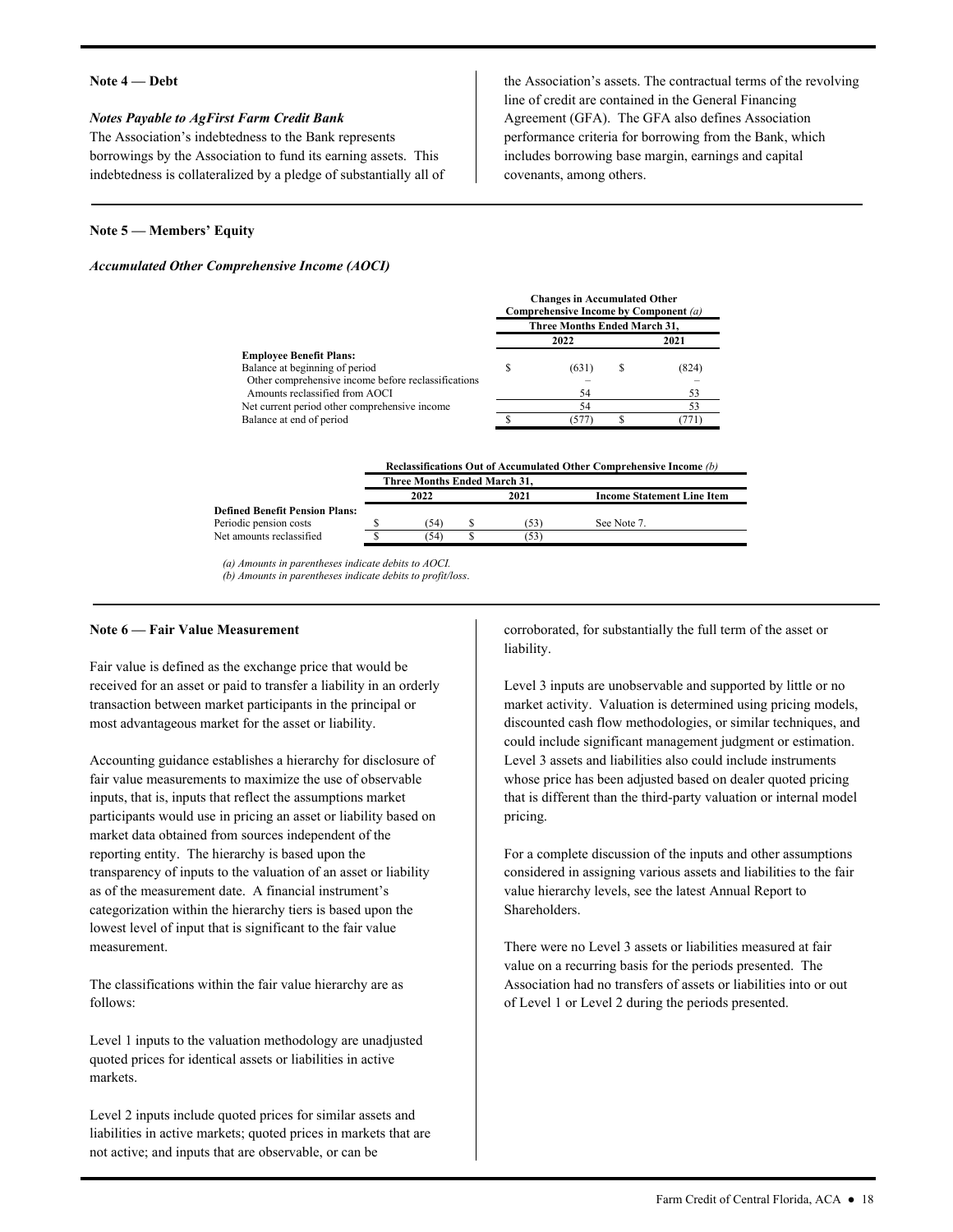#### **Note 4 — Debt**

#### *Notes Payable to AgFirst Farm Credit Bank*

The Association's indebtedness to the Bank represents borrowings by the Association to fund its earning assets. This indebtedness is collateralized by a pledge of substantially all of

 line of credit are contained in the General Financing the Association's assets. The contractual terms of the revolving Agreement (GFA). The GFA also defines Association performance criteria for borrowing from the Bank, which includes borrowing base margin, earnings and capital covenants, among others.

**Changes in Accumulated Other** 

See Note 7.

#### **Note 5 — Members' Equity**

#### *Accumulated Other Comprehensive Income (AOCI)*

| Changes in Accumulation Other<br>Comprehensive Income by Component (a) |       |  |                              |  |
|------------------------------------------------------------------------|-------|--|------------------------------|--|
|                                                                        |       |  |                              |  |
|                                                                        | 2022  |  | 2021                         |  |
|                                                                        |       |  |                              |  |
|                                                                        | (631) |  | (824)                        |  |
|                                                                        |       |  |                              |  |
|                                                                        | 54    |  | 53                           |  |
|                                                                        | 54    |  | 53                           |  |
|                                                                        | 577   |  |                              |  |
|                                                                        |       |  | Three Months Ended March 31, |  |

\$ \$

|                                | Reclassifications Out of Accumulated Other Comprehensive Income (b) |      |                                   |  |  |  |
|--------------------------------|---------------------------------------------------------------------|------|-----------------------------------|--|--|--|
|                                | Three Months Ended March 31.                                        |      |                                   |  |  |  |
|                                | 2022                                                                | 2021 | <b>Income Statement Line Item</b> |  |  |  |
| Defined Renefit Pension Plans. |                                                                     |      |                                   |  |  |  |

(53) (53)

Periodic pension costs<br>Net amounts reclassified \$ Periodic pension costs

*(a) Amounts in parentheses indicate debits to AOCI. (b) Amounts in parentheses indicate debits to profit/loss*.

\$

(54)  $(54)$ 

#### **Note 6 — Fair Value Measurement**

Fair value is defined as the exchange price that would be received for an asset or paid to transfer a liability in an orderly transaction between market participants in the principal or most advantageous market for the asset or liability.

Accounting guidance establishes a hierarchy for disclosure of fair value measurements to maximize the use of observable inputs, that is, inputs that reflect the assumptions market participants would use in pricing an asset or liability based on market data obtained from sources independent of the reporting entity. The hierarchy is based upon the transparency of inputs to the valuation of an asset or liability as of the measurement date. A financial instrument's categorization within the hierarchy tiers is based upon the lowest level of input that is significant to the fair value measurement.

The classifications within the fair value hierarchy are as follows:

markets. Level 1 inputs to the valuation methodology are unadjusted quoted prices for identical assets or liabilities in active

Level 2 inputs include quoted prices for similar assets and liabilities in active markets; quoted prices in markets that are not active; and inputs that are observable, or can be

corroborated, for substantially the full term of the asset or liability.

 Level 3 inputs are unobservable and supported by little or no market activity. Valuation is determined using pricing models, discounted cash flow methodologies, or similar techniques, and could include significant management judgment or estimation. Level 3 assets and liabilities also could include instruments whose price has been adjusted based on dealer quoted pricing that is different than the third-party valuation or internal model pricing.<br>For a complete discussion of the inputs and other assumptions

considered in assigning various assets and liabilities to the fair value hierarchy levels, see the latest Annual Report to Shareholders.

There were no Level 3 assets or liabilities measured at fair value on a recurring basis for the periods presented. The Association had no transfers of assets or liabilities into or out of Level 1 or Level 2 during the periods presented.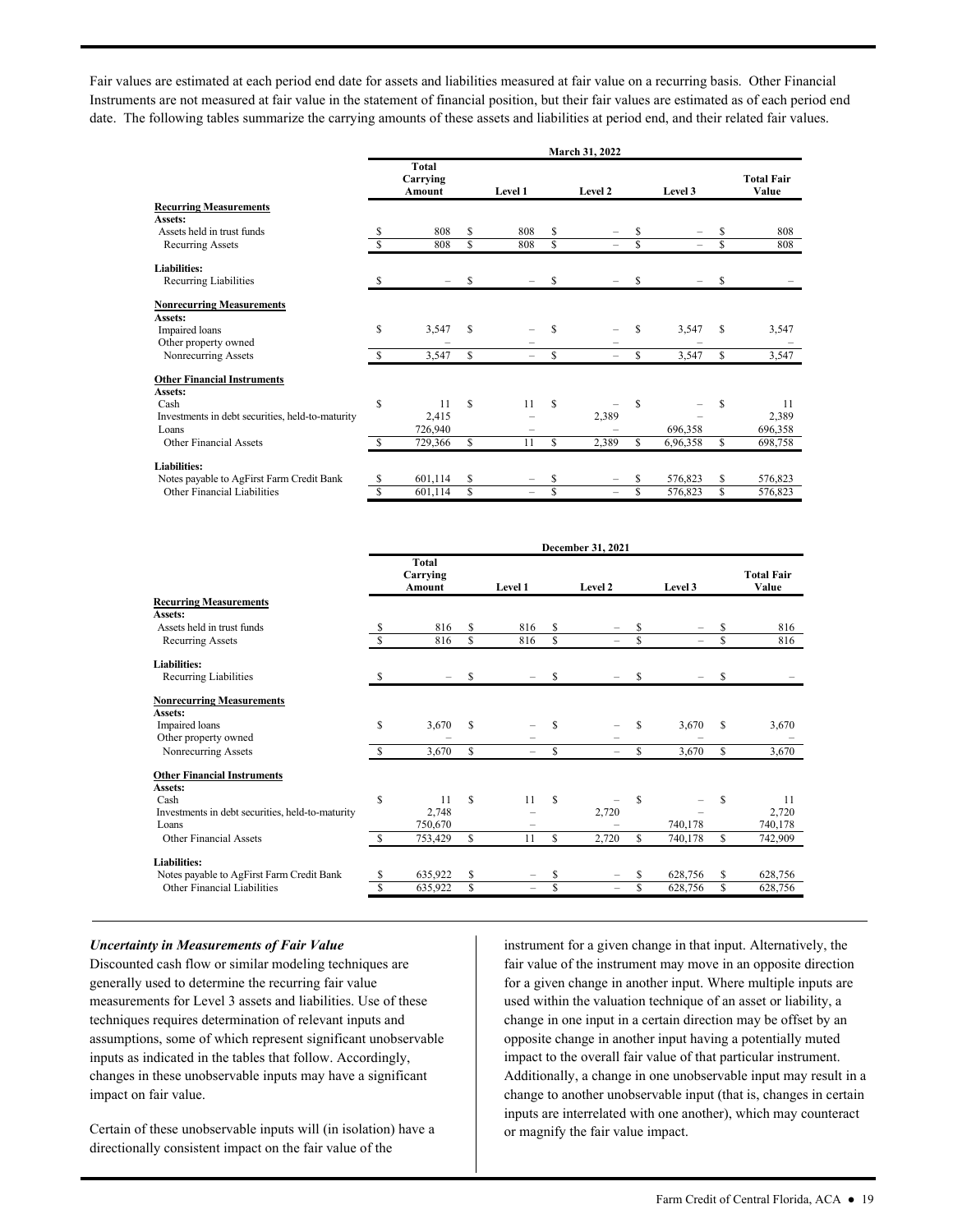date. The following tables summarize the carrying amounts of these assets and liabilities at period end, and their related fair values. Fair values are estimated at each period end date for assets and liabilities measured at fair value on a recurring basis. Other Financial Instruments are not measured at fair value in the statement of financial position, but their fair values are estimated as of each period end

| March 31, 2022 |                             |                                                               |                      |                 |                     |                                   |              |                                                    |                            |
|----------------|-----------------------------|---------------------------------------------------------------|----------------------|-----------------|---------------------|-----------------------------------|--------------|----------------------------------------------------|----------------------------|
|                | Total<br>Carrying<br>Amount |                                                               | Level 1              |                 | Level 2             |                                   | Level 3      |                                                    | <b>Total Fair</b><br>Value |
|                |                             |                                                               |                      |                 |                     |                                   |              |                                                    |                            |
|                |                             |                                                               |                      |                 |                     |                                   |              |                                                    |                            |
|                |                             |                                                               |                      |                 |                     |                                   |              |                                                    | 808                        |
|                |                             |                                                               |                      |                 |                     |                                   |              |                                                    | 808                        |
|                |                             |                                                               |                      |                 |                     |                                   |              |                                                    |                            |
| \$.            |                             | S                                                             |                      | S               |                     | S                                 |              | S                                                  |                            |
|                |                             |                                                               |                      |                 |                     |                                   |              |                                                    |                            |
|                |                             |                                                               |                      |                 |                     |                                   |              |                                                    |                            |
| S              |                             | S                                                             |                      | \$              |                     | S                                 |              | S                                                  | 3,547                      |
|                |                             |                                                               |                      |                 |                     |                                   |              |                                                    |                            |
| \$.            | 3,547                       | S                                                             |                      | S               |                     | \$.                               | 3,547        | \$                                                 | 3,547                      |
|                |                             |                                                               |                      |                 |                     |                                   |              |                                                    |                            |
|                |                             |                                                               |                      |                 |                     |                                   |              |                                                    |                            |
| S              | 11                          | S                                                             | 11                   | S               |                     | <sup>\$</sup>                     |              | S                                                  | 11                         |
|                |                             |                                                               |                      |                 |                     |                                   |              |                                                    | 2,389                      |
|                |                             |                                                               |                      |                 |                     |                                   |              |                                                    | 696,358                    |
| <b>S</b>       | 729,366                     | \$                                                            | 11                   | \$              | 2,389               | S.                                | 6,96,358     | \$                                                 | 698,758                    |
|                |                             |                                                               |                      |                 |                     |                                   |              |                                                    |                            |
|                |                             |                                                               |                      |                 |                     |                                   |              |                                                    | 576,823                    |
|                |                             |                                                               |                      |                 |                     |                                   |              |                                                    | 576,823                    |
|                | S<br>S<br>\$<br>\$          | 808<br>808<br>3,547<br>2,415<br>726,940<br>601,114<br>601,114 | \$<br>\$.<br>\$<br>S | 808<br>808<br>- | \$<br>S<br>\$<br>\$ | 2,389<br>$\overline{\phantom{m}}$ | S<br>\$<br>S | $\equiv$<br>3,547<br>696,358<br>576,823<br>576,823 | \$<br>\$<br>\$<br>\$       |

|                                                  | December 31, 2021 |                                    |    |                          |    |                          |   |          |   |                            |
|--------------------------------------------------|-------------------|------------------------------------|----|--------------------------|----|--------------------------|---|----------|---|----------------------------|
|                                                  |                   | Total<br>Carrying<br><b>Amount</b> |    | Level 1                  |    | Level 2                  |   | Level 3  |   | <b>Total Fair</b><br>Value |
| <b>Recurring Measurements</b>                    |                   |                                    |    |                          |    |                          |   |          |   |                            |
| Assets:                                          |                   |                                    |    |                          |    |                          |   |          |   |                            |
| Assets held in trust funds                       |                   | 816                                | S  | 816                      | \$ |                          | S |          | S | 816                        |
| Recurring Assets                                 | S                 | 816                                | S  | 816                      | S  | $=$                      | S | $\equiv$ | Ŝ | 816                        |
| <b>Liabilities:</b>                              |                   |                                    |    |                          |    |                          |   |          |   |                            |
| Recurring Liabilities                            | S                 |                                    | S  |                          | S  |                          | S |          | S |                            |
| <b>Nonrecurring Measurements</b>                 |                   |                                    |    |                          |    |                          |   |          |   |                            |
| Assets:                                          |                   |                                    |    |                          |    |                          |   |          |   |                            |
| Impaired loans                                   | S                 | 3,670                              | S  |                          | S  |                          | S | 3,670    | S | 3,670                      |
| Other property owned                             |                   |                                    |    |                          |    |                          |   |          |   |                            |
| Nonrecurring Assets                              | S                 | 3,670                              | S  | $\overline{\phantom{0}}$ | \$ | $\overline{\phantom{0}}$ | S | 3,670    | S | 3,670                      |
| <b>Other Financial Instruments</b>               |                   |                                    |    |                          |    |                          |   |          |   |                            |
| Assets:                                          |                   |                                    |    |                          |    |                          |   |          |   |                            |
| Cash                                             | S                 | 11                                 | S  | 11                       | S  |                          | S |          | S | 11                         |
| Investments in debt securities, held-to-maturity |                   | 2,748                              |    |                          |    | 2,720                    |   |          |   | 2,720                      |
| Loans                                            |                   | 750,670                            |    |                          |    |                          |   | 740,178  |   | 740,178                    |
| Other Financial Assets                           | S                 | 753,429                            | S  | 11                       | S  | 2,720                    | S | 740,178  | S | 742,909                    |
| <b>Liabilities:</b>                              |                   |                                    |    |                          |    |                          |   |          |   |                            |
| Notes payable to AgFirst Farm Credit Bank        | S                 | 635,922                            | S  |                          | \$ |                          | S | 628,756  | S | 628,756                    |
| Other Financial Liabilities                      | S                 | 635,922                            | \$ | $\overline{\phantom{m}}$ | S  | $\equiv$                 | S | 628,756  | S | 628,756                    |
|                                                  |                   |                                    |    |                          |    |                          |   |          |   |                            |

## *Uncertainty in Measurements of Fair Value*

Discounted cash flow or similar modeling techniques are generally used to determine the recurring fair value measurements for Level 3 assets and liabilities. Use of these techniques requires determination of relevant inputs and assumptions, some of which represent significant unobservable inputs as indicated in the tables that follow. Accordingly, changes in these unobservable inputs may have a significant impact on fair value.

directionally consistent impact on the fair value of the Certain of these unobservable inputs will (in isolation) have a

 inputs are interrelated with one another), which may counteract Uncertainty in Measurements of Fair Value<br>
Discounted cash flow or similar modeling techniques are<br>
measurements for Level 3 assets and liabilities. Use of these<br>
techniques requiring fair value of the instrument may move fair value of the instrument may move in an opposite direction for a given change in another input. Where multiple inputs are used within the valuation technique of an asset or liability, a change in one input in a certain direction may be offset by an opposite change in another input having a potentially muted impact to the overall fair value of that particular instrument. Additionally, a change in one unobservable input may result in a change to another unobservable input (that is, changes in certain or magnify the fair value impact.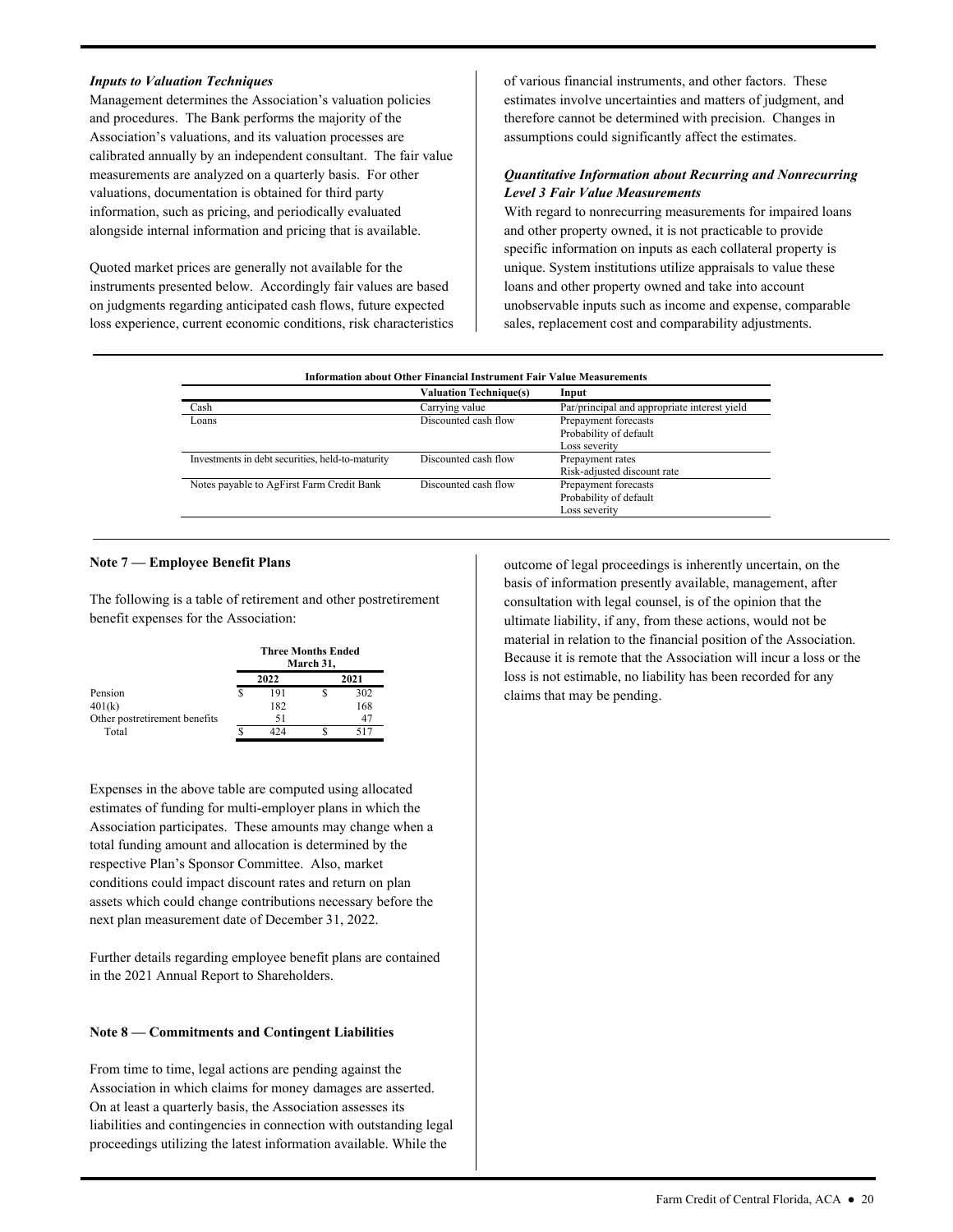### *Inputs to Valuation Techniques*

 calibrated annually by an independent consultant. The fair value measurements are analyzed on a quarterly basis. For other valuations, documentation is obtained for third party Management determines the Association's valuation policies and procedures. The Bank performs the majority of the Association's valuations, and its valuation processes are information, such as pricing, and periodically evaluated alongside internal information and pricing that is available.

Quoted market prices are generally not available for the instruments presented below. Accordingly fair values are based on judgments regarding anticipated cash flows, future expected loss experience, current economic conditions, risk characteristics  of various financial instruments, and other factors. These estimates involve uncertainties and matters of judgment, and therefore cannot be determined with precision. Changes in assumptions could significantly affect the estimates.

## *Quantitative Information about Recurring and Nonrecurring Level 3 Fair Value Measurements*

 sales, replacement cost and comparability adjustments. With regard to nonrecurring measurements for impaired loans and other property owned, it is not practicable to provide specific information on inputs as each collateral property is unique. System institutions utilize appraisals to value these loans and other property owned and take into account unobservable inputs such as income and expense, comparable

| <b>Information about Other Financial Instrument Fair Value Measurements</b> |                               |                                              |  |  |  |  |
|-----------------------------------------------------------------------------|-------------------------------|----------------------------------------------|--|--|--|--|
|                                                                             | <b>Valuation Technique(s)</b> | Input                                        |  |  |  |  |
| Cash                                                                        | Carrying value                | Par/principal and appropriate interest yield |  |  |  |  |
| Loans                                                                       | Discounted cash flow          | Prepayment forecasts                         |  |  |  |  |
|                                                                             |                               | Probability of default                       |  |  |  |  |
|                                                                             |                               | Loss severity                                |  |  |  |  |
| Investments in debt securities, held-to-maturity                            | Discounted cash flow          | Prepayment rates                             |  |  |  |  |
|                                                                             |                               | Risk-adjusted discount rate                  |  |  |  |  |
| Notes payable to AgFirst Farm Credit Bank                                   | Discounted cash flow          | Prepayment forecasts                         |  |  |  |  |
|                                                                             |                               | Probability of default                       |  |  |  |  |
|                                                                             |                               | Loss severity                                |  |  |  |  |

#### **Note 7 — Employee Benefit Plans**

The following is a table of retirement and other postretirement benefit expenses for the Association:

|                               | <b>Three Months Ended</b><br>March 31, |      |  |      |  |  |
|-------------------------------|----------------------------------------|------|--|------|--|--|
|                               |                                        | 2022 |  | 2021 |  |  |
| Pension                       |                                        | 191  |  | 302  |  |  |
| 401(k)                        |                                        | 182  |  | 168  |  |  |
| Other postretirement benefits |                                        | 51   |  | 47   |  |  |
| Total                         |                                        | 474  |  | 517  |  |  |

Expenses in the above table are computed using allocated estimates of funding for multi-employer plans in which the Association participates. These amounts may change when a total funding amount and allocation is determined by the respective Plan's Sponsor Committee. Also, market conditions could impact discount rates and return on plan assets which could change contributions necessary before the next plan measurement date of December 31, 2022.

Further details regarding employee benefit plans are contained in the 2021 Annual Report to Shareholders.

#### **Note 8 — Commitments and Contingent Liabilities**

 Association in which claims for money damages are asserted. liabilities and contingencies in connection with outstanding legal From time to time, legal actions are pending against the On at least a quarterly basis, the Association assesses its proceedings utilizing the latest information available. While the

outcome of legal proceedings is inherently uncertain, on the basis of information presently available, management, after consultation with legal counsel, is of the opinion that the ultimate liability, if any, from these actions, would not be material in relation to the financial position of the Association. Because it is remote that the Association will incur a loss or the loss is not estimable, no liability has been recorded for any claims that may be pending.